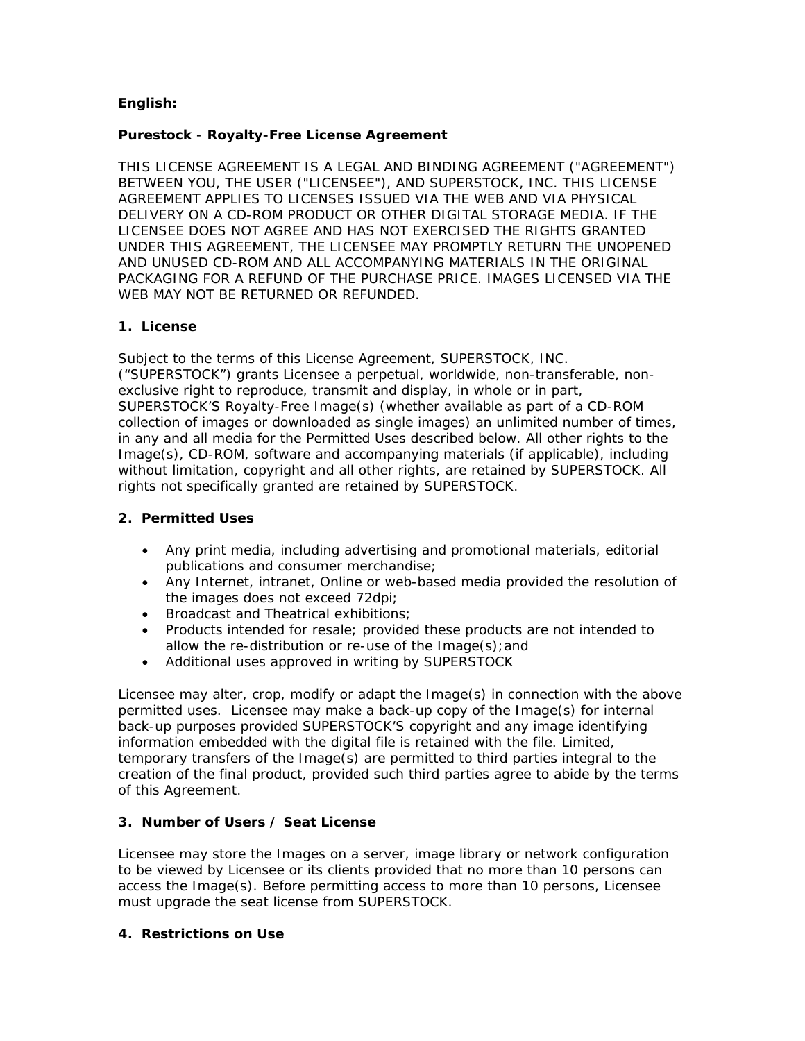# **English:**

# **Purestock** - **Royalty-Free License Agreement**

THIS LICENSE AGREEMENT IS A LEGAL AND BINDING AGREEMENT ("AGREEMENT") BETWEEN YOU, THE USER ("LICENSEE"), AND SUPERSTOCK, INC. THIS LICENSE AGREEMENT APPLIES TO LICENSES ISSUED VIA THE WEB AND VIA PHYSICAL DELIVERY ON A CD-ROM PRODUCT OR OTHER DIGITAL STORAGE MEDIA. IF THE LICENSEE DOES NOT AGREE AND HAS NOT EXERCISED THE RIGHTS GRANTED UNDER THIS AGREEMENT, THE LICENSEE MAY PROMPTLY RETURN THE UNOPENED AND UNUSED CD-ROM AND ALL ACCOMPANYING MATERIALS IN THE ORIGINAL PACKAGING FOR A REFUND OF THE PURCHASE PRICE. IMAGES LICENSED VIA THE WEB MAY NOT BE RETURNED OR REFUNDED.

# **1. License**

Subject to the terms of this License Agreement, SUPERSTOCK, INC. ("SUPERSTOCK") grants Licensee a perpetual, worldwide, non-transferable, nonexclusive right to reproduce, transmit and display, in whole or in part, SUPERSTOCK'S Royalty-Free Image(s) (whether available as part of a CD-ROM collection of images or downloaded as single images) an unlimited number of times, in any and all media for the Permitted Uses described below. All other rights to the Image(s), CD-ROM, software and accompanying materials (if applicable), including without limitation, copyright and all other rights, are retained by SUPERSTOCK. All rights not specifically granted are retained by SUPERSTOCK.

# **2. Permitted Uses**

- Any print media, including advertising and promotional materials, editorial publications and consumer merchandise;
- Any Internet, intranet, Online or web-based media provided the resolution of the images does not exceed 72dpi;
- Broadcast and Theatrical exhibitions;
- Products intended for resale; provided these products are not intended to allow the re-distribution or re-use of the Image(s);and
- Additional uses approved in writing by SUPERSTOCK

Licensee may alter, crop, modify or adapt the Image(s) in connection with the above permitted uses. Licensee may make a back-up copy of the Image(s) for internal back-up purposes provided SUPERSTOCK'S copyright and any image identifying information embedded with the digital file is retained with the file. Limited, temporary transfers of the Image(s) are permitted to third parties integral to the creation of the final product, provided such third parties agree to abide by the terms of this Agreement.

# **3. Number of Users / Seat License**

Licensee may store the Images on a server, image library or network configuration to be viewed by Licensee or its clients provided that no more than 10 persons can access the Image(s). Before permitting access to more than 10 persons, Licensee must upgrade the seat license from SUPERSTOCK.

# **4. Restrictions on Use**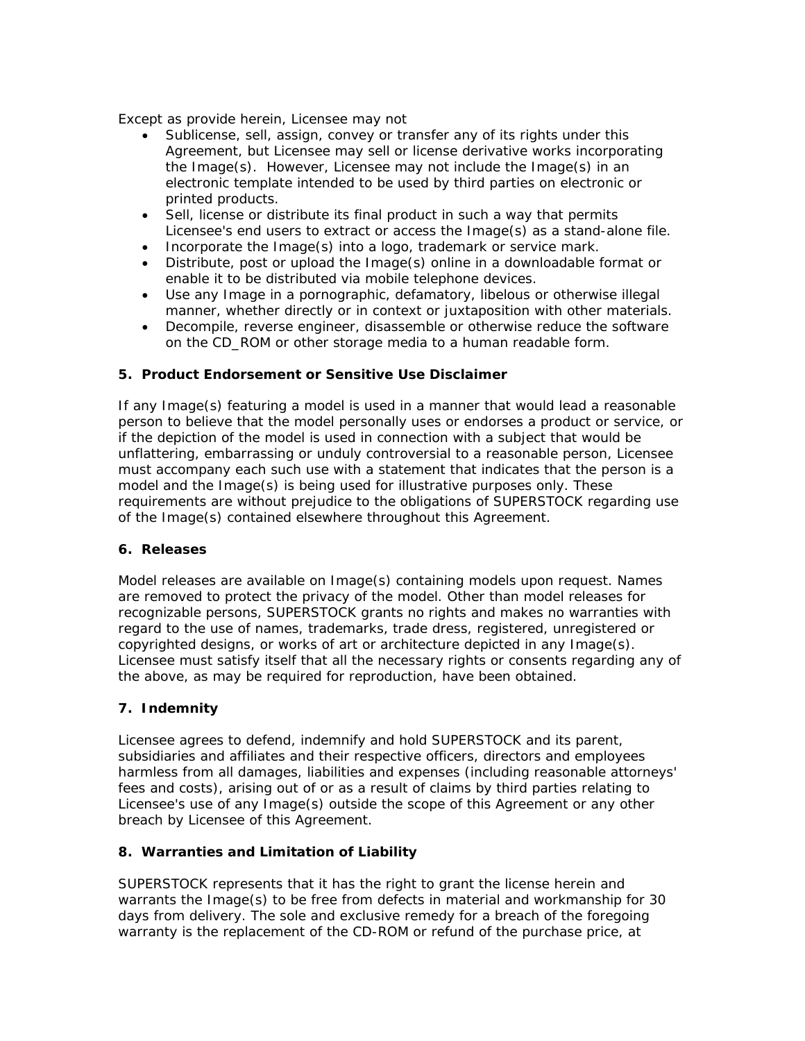Except as provide herein, Licensee may not

- Sublicense, sell, assign, convey or transfer any of its rights under this Agreement, but Licensee may sell or license derivative works incorporating the Image(s). However, Licensee may not include the Image(s) in an electronic template intended to be used by third parties on electronic or printed products.
- Sell, license or distribute its final product in such a way that permits Licensee's end users to extract or access the Image(s) as a stand-alone file.
- Incorporate the Image(s) into a logo, trademark or service mark.
- Distribute, post or upload the Image(s) online in a downloadable format or enable it to be distributed via mobile telephone devices.
- Use any Image in a pornographic, defamatory, libelous or otherwise illegal manner, whether directly or in context or juxtaposition with other materials.
- Decompile, reverse engineer, disassemble or otherwise reduce the software on the CD\_ROM or other storage media to a human readable form.

# **5. Product Endorsement or Sensitive Use Disclaimer**

If any Image(s) featuring a model is used in a manner that would lead a reasonable person to believe that the model personally uses or endorses a product or service, or if the depiction of the model is used in connection with a subject that would be unflattering, embarrassing or unduly controversial to a reasonable person, Licensee must accompany each such use with a statement that indicates that the person is a model and the Image(s) is being used for illustrative purposes only. These requirements are without prejudice to the obligations of SUPERSTOCK regarding use of the Image(s) contained elsewhere throughout this Agreement.

#### **6. Releases**

Model releases are available on Image(s) containing models upon request. Names are removed to protect the privacy of the model. Other than model releases for recognizable persons, SUPERSTOCK grants no rights and makes no warranties with regard to the use of names, trademarks, trade dress, registered, unregistered or copyrighted designs, or works of art or architecture depicted in any Image(s). Licensee must satisfy itself that all the necessary rights or consents regarding any of the above, as may be required for reproduction, have been obtained.

# **7. Indemnity**

Licensee agrees to defend, indemnify and hold SUPERSTOCK and its parent, subsidiaries and affiliates and their respective officers, directors and employees harmless from all damages, liabilities and expenses (including reasonable attorneys' fees and costs), arising out of or as a result of claims by third parties relating to Licensee's use of any Image(s) outside the scope of this Agreement or any other breach by Licensee of this Agreement.

# **8. Warranties and Limitation of Liability**

SUPERSTOCK represents that it has the right to grant the license herein and warrants the Image(s) to be free from defects in material and workmanship for 30 days from delivery. The sole and exclusive remedy for a breach of the foregoing warranty is the replacement of the CD-ROM or refund of the purchase price, at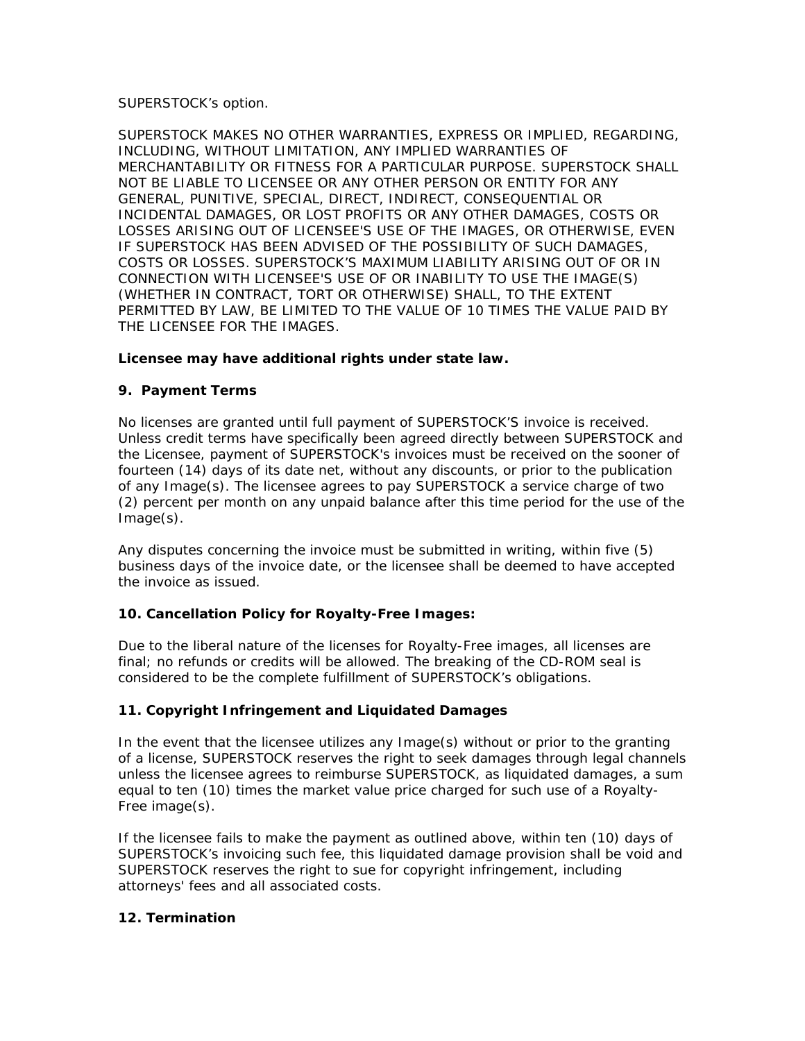# SUPERSTOCK's option.

SUPERSTOCK MAKES NO OTHER WARRANTIES, EXPRESS OR IMPLIED, REGARDING, INCLUDING, WITHOUT LIMITATION, ANY IMPLIED WARRANTIES OF MERCHANTABILITY OR FITNESS FOR A PARTICULAR PURPOSE. SUPERSTOCK SHALL NOT BE LIABLE TO LICENSEE OR ANY OTHER PERSON OR ENTITY FOR ANY GENERAL, PUNITIVE, SPECIAL, DIRECT, INDIRECT, CONSEQUENTIAL OR INCIDENTAL DAMAGES, OR LOST PROFITS OR ANY OTHER DAMAGES, COSTS OR LOSSES ARISING OUT OF LICENSEE'S USE OF THE IMAGES, OR OTHERWISE, EVEN IF SUPERSTOCK HAS BEEN ADVISED OF THE POSSIBILITY OF SUCH DAMAGES, COSTS OR LOSSES. SUPERSTOCK'S MAXIMUM LIABILITY ARISING OUT OF OR IN CONNECTION WITH LICENSEE'S USE OF OR INABILITY TO USE THE IMAGE(S) (WHETHER IN CONTRACT, TORT OR OTHERWISE) SHALL, TO THE EXTENT PERMITTED BY LAW, BE LIMITED TO THE VALUE OF 10 TIMES THE VALUE PAID BY THE LICENSEE FOR THE IMAGES.

# **Licensee may have additional rights under state law.**

# **9. Payment Terms**

No licenses are granted until full payment of SUPERSTOCK'S invoice is received. Unless credit terms have specifically been agreed directly between SUPERSTOCK and the Licensee, payment of SUPERSTOCK's invoices must be received on the sooner of fourteen (14) days of its date net, without any discounts, or prior to the publication of any Image(s). The licensee agrees to pay SUPERSTOCK a service charge of two (2) percent per month on any unpaid balance after this time period for the use of the Image(s).

Any disputes concerning the invoice must be submitted in writing, within five (5) business days of the invoice date, or the licensee shall be deemed to have accepted the invoice as issued.

# **10. Cancellation Policy for Royalty-Free Images:**

Due to the liberal nature of the licenses for Royalty-Free images, all licenses are final; no refunds or credits will be allowed. The breaking of the CD-ROM seal is considered to be the complete fulfillment of SUPERSTOCK's obligations.

# **11. Copyright Infringement and Liquidated Damages**

In the event that the licensee utilizes any Image(s) without or prior to the granting of a license, SUPERSTOCK reserves the right to seek damages through legal channels unless the licensee agrees to reimburse SUPERSTOCK, as liquidated damages, a sum equal to ten (10) times the market value price charged for such use of a Royalty-Free image(s).

If the licensee fails to make the payment as outlined above, within ten (10) days of SUPERSTOCK's invoicing such fee, this liquidated damage provision shall be void and SUPERSTOCK reserves the right to sue for copyright infringement, including attorneys' fees and all associated costs.

# **12. Termination**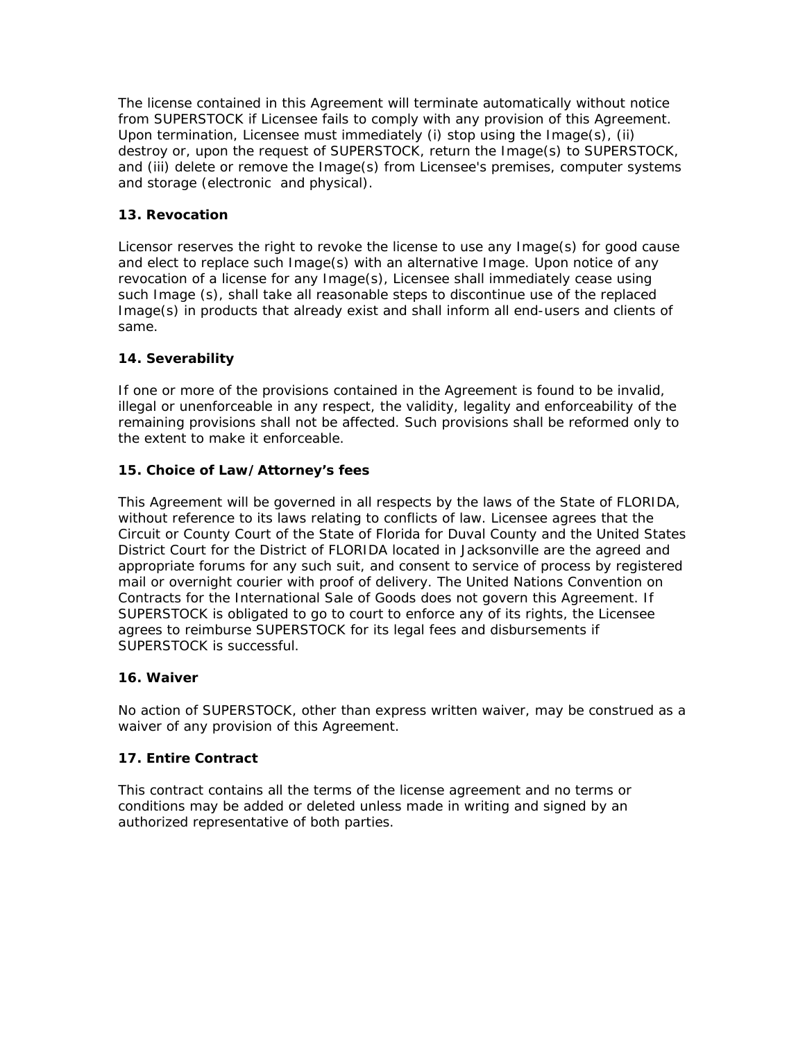The license contained in this Agreement will terminate automatically without notice from SUPERSTOCK if Licensee fails to comply with any provision of this Agreement. Upon termination, Licensee must immediately (i) stop using the Image(s), (ii) destroy or, upon the request of SUPERSTOCK, return the Image(s) to SUPERSTOCK, and (iii) delete or remove the Image(s) from Licensee's premises, computer systems and storage (electronic and physical).

# **13. Revocation**

Licensor reserves the right to revoke the license to use any Image(s) for good cause and elect to replace such Image(s) with an alternative Image. Upon notice of any revocation of a license for any Image(s), Licensee shall immediately cease using such Image (s), shall take all reasonable steps to discontinue use of the replaced Image(s) in products that already exist and shall inform all end-users and clients of same.

# **14. Severability**

If one or more of the provisions contained in the Agreement is found to be invalid, illegal or unenforceable in any respect, the validity, legality and enforceability of the remaining provisions shall not be affected. Such provisions shall be reformed only to the extent to make it enforceable.

# **15. Choice of Law/Attorney's fees**

This Agreement will be governed in all respects by the laws of the State of FLORIDA, without reference to its laws relating to conflicts of law. Licensee agrees that the Circuit or County Court of the State of Florida for Duval County and the United States District Court for the District of FLORIDA located in Jacksonville are the agreed and appropriate forums for any such suit, and consent to service of process by registered mail or overnight courier with proof of delivery. The United Nations Convention on Contracts for the International Sale of Goods does not govern this Agreement. If SUPERSTOCK is obligated to go to court to enforce any of its rights, the Licensee agrees to reimburse SUPERSTOCK for its legal fees and disbursements if SUPERSTOCK is successful.

# **16. Waiver**

No action of SUPERSTOCK, other than express written waiver, may be construed as a waiver of any provision of this Agreement.

# **17. Entire Contract**

This contract contains all the terms of the license agreement and no terms or conditions may be added or deleted unless made in writing and signed by an authorized representative of both parties.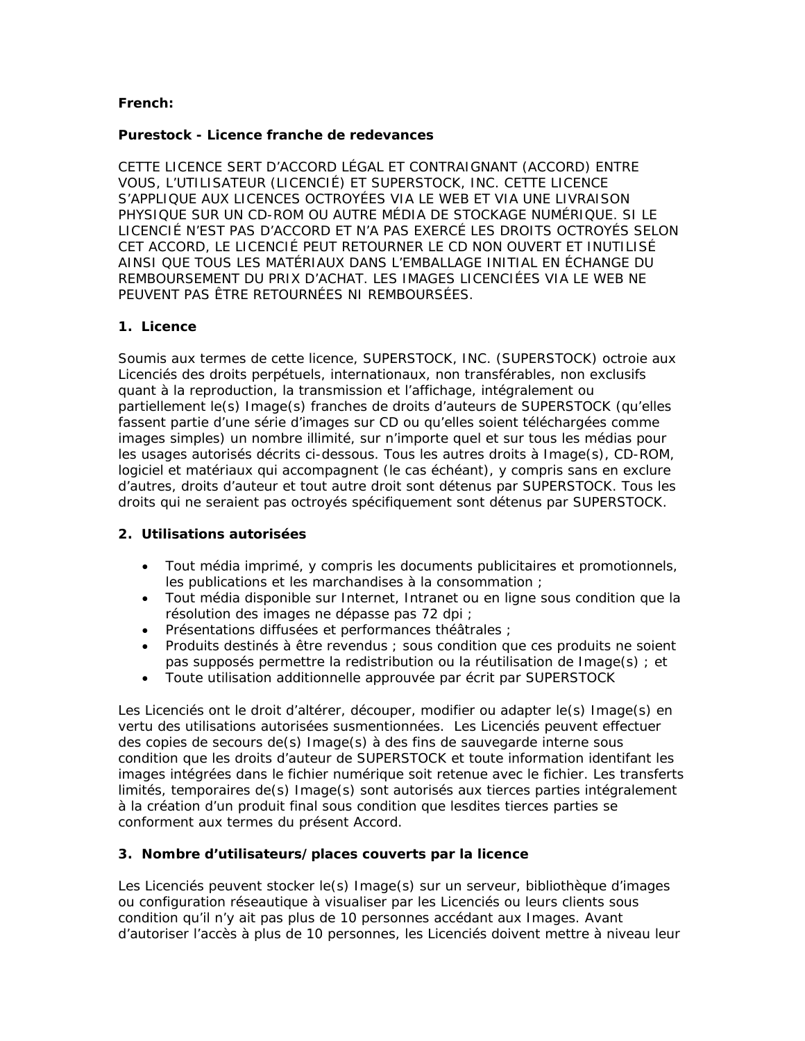# **French:**

#### **Purestock - Licence franche de redevances**

CETTE LICENCE SERT D'ACCORD LÉGAL ET CONTRAIGNANT (ACCORD) ENTRE VOUS, L'UTILISATEUR (LICENCIÉ) ET SUPERSTOCK, INC. CETTE LICENCE S'APPLIQUE AUX LICENCES OCTROYÉES VIA LE WEB ET VIA UNE LIVRAISON PHYSIQUE SUR UN CD-ROM OU AUTRE MÉDIA DE STOCKAGE NUMÉRIQUE. SI LE LICENCIÉ N'EST PAS D'ACCORD ET N'A PAS EXERCÉ LES DROITS OCTROYÉS SELON CET ACCORD, LE LICENCIÉ PEUT RETOURNER LE CD NON OUVERT ET INUTILISÉ AINSI QUE TOUS LES MATÉRIAUX DANS L'EMBALLAGE INITIAL EN ÉCHANGE DU REMBOURSEMENT DU PRIX D'ACHAT. LES IMAGES LICENCIÉES VIA LE WEB NE PEUVENT PAS ÊTRE RETOURNÉES NI REMBOURSÉES.

# **1. Licence**

Soumis aux termes de cette licence, SUPERSTOCK, INC. (SUPERSTOCK) octroie aux Licenciés des droits perpétuels, internationaux, non transférables, non exclusifs quant à la reproduction, la transmission et l'affichage, intégralement ou partiellement le(s) Image(s) franches de droits d'auteurs de SUPERSTOCK (qu'elles fassent partie d'une série d'images sur CD ou qu'elles soient téléchargées comme images simples) un nombre illimité, sur n'importe quel et sur tous les médias pour les usages autorisés décrits ci-dessous. Tous les autres droits à Image(s), CD-ROM, logiciel et matériaux qui accompagnent (le cas échéant), y compris sans en exclure d'autres, droits d'auteur et tout autre droit sont détenus par SUPERSTOCK. Tous les droits qui ne seraient pas octroyés spécifiquement sont détenus par SUPERSTOCK.

# **2. Utilisations autorisées**

- Tout média imprimé, y compris les documents publicitaires et promotionnels, les publications et les marchandises à la consommation ;
- Tout média disponible sur Internet, Intranet ou en ligne sous condition que la résolution des images ne dépasse pas 72 dpi ;
- Présentations diffusées et performances théâtrales ;
- Produits destinés à être revendus ; sous condition que ces produits ne soient pas supposés permettre la redistribution ou la réutilisation de Image(s) ; et
- Toute utilisation additionnelle approuvée par écrit par SUPERSTOCK

Les Licenciés ont le droit d'altérer, découper, modifier ou adapter le(s) Image(s) en vertu des utilisations autorisées susmentionnées. Les Licenciés peuvent effectuer des copies de secours de(s) Image(s) à des fins de sauvegarde interne sous condition que les droits d'auteur de SUPERSTOCK et toute information identifant les images intégrées dans le fichier numérique soit retenue avec le fichier. Les transferts limités, temporaires de(s) Image(s) sont autorisés aux tierces parties intégralement à la création d'un produit final sous condition que lesdites tierces parties se conforment aux termes du présent Accord.

# **3. Nombre d'utilisateurs/places couverts par la licence**

Les Licenciés peuvent stocker le(s) Image(s) sur un serveur, bibliothèque d'images ou configuration réseautique à visualiser par les Licenciés ou leurs clients sous condition qu'il n'y ait pas plus de 10 personnes accédant aux Images. Avant d'autoriser l'accès à plus de 10 personnes, les Licenciés doivent mettre à niveau leur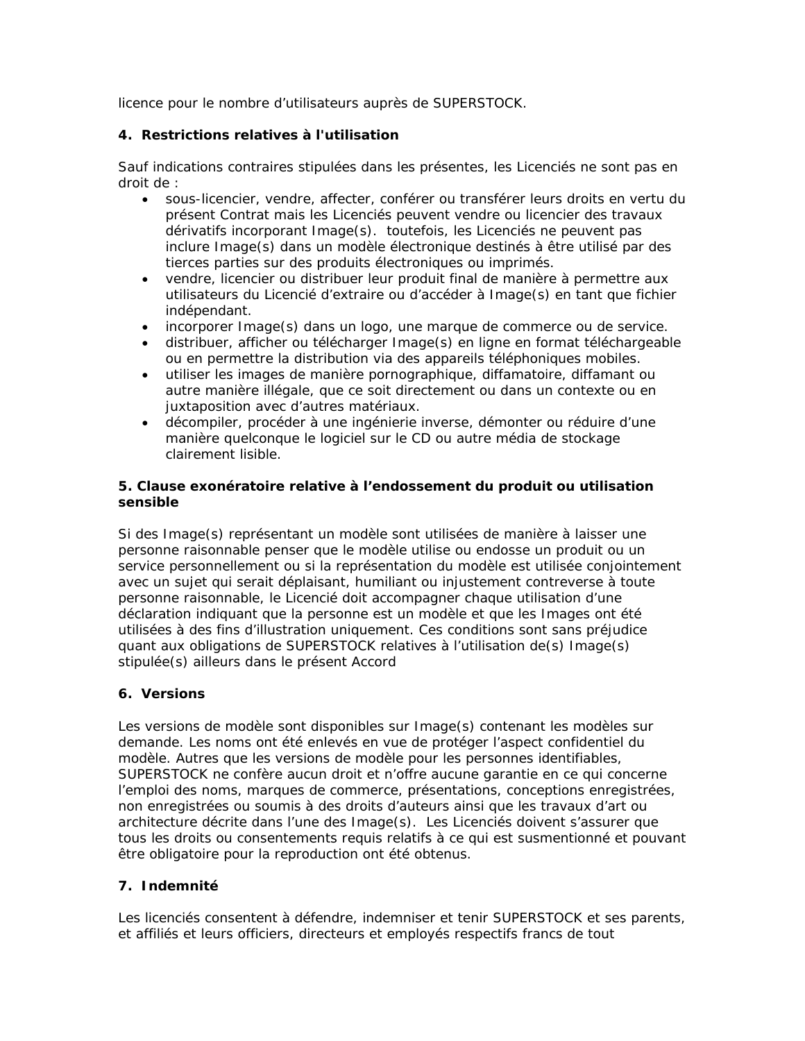licence pour le nombre d'utilisateurs auprès de SUPERSTOCK.

# **4. Restrictions relatives à l'utilisation**

Sauf indications contraires stipulées dans les présentes, les Licenciés ne sont pas en droit de :

- sous-licencier, vendre, affecter, conférer ou transférer leurs droits en vertu du présent Contrat mais les Licenciés peuvent vendre ou licencier des travaux dérivatifs incorporant Image(s). toutefois, les Licenciés ne peuvent pas inclure Image(s) dans un modèle électronique destinés à être utilisé par des tierces parties sur des produits électroniques ou imprimés.
- vendre, licencier ou distribuer leur produit final de manière à permettre aux utilisateurs du Licencié d'extraire ou d'accéder à Image(s) en tant que fichier indépendant.
- incorporer Image(s) dans un logo, une marque de commerce ou de service.
- distribuer, afficher ou télécharger Image(s) en ligne en format téléchargeable ou en permettre la distribution via des appareils téléphoniques mobiles.
- utiliser les images de manière pornographique, diffamatoire, diffamant ou autre manière illégale, que ce soit directement ou dans un contexte ou en juxtaposition avec d'autres matériaux.
- décompiler, procéder à une ingénierie inverse, démonter ou réduire d'une manière quelconque le logiciel sur le CD ou autre média de stockage clairement lisible.

# **5. Clause exonératoire relative à l'endossement du produit ou utilisation sensible**

Si des Image(s) représentant un modèle sont utilisées de manière à laisser une personne raisonnable penser que le modèle utilise ou endosse un produit ou un service personnellement ou si la représentation du modèle est utilisée conjointement avec un sujet qui serait déplaisant, humiliant ou injustement contreverse à toute personne raisonnable, le Licencié doit accompagner chaque utilisation d'une déclaration indiquant que la personne est un modèle et que les Images ont été utilisées à des fins d'illustration uniquement. Ces conditions sont sans préjudice quant aux obligations de SUPERSTOCK relatives à l'utilisation de(s) Image(s) stipulée(s) ailleurs dans le présent Accord

# **6. Versions**

Les versions de modèle sont disponibles sur Image(s) contenant les modèles sur demande. Les noms ont été enlevés en vue de protéger l'aspect confidentiel du modèle. Autres que les versions de modèle pour les personnes identifiables, SUPERSTOCK ne confère aucun droit et n'offre aucune garantie en ce qui concerne l'emploi des noms, marques de commerce, présentations, conceptions enregistrées, non enregistrées ou soumis à des droits d'auteurs ainsi que les travaux d'art ou architecture décrite dans l'une des Image(s). Les Licenciés doivent s'assurer que tous les droits ou consentements requis relatifs à ce qui est susmentionné et pouvant être obligatoire pour la reproduction ont été obtenus.

# **7. Indemnité**

Les licenciés consentent à défendre, indemniser et tenir SUPERSTOCK et ses parents, et affiliés et leurs officiers, directeurs et employés respectifs francs de tout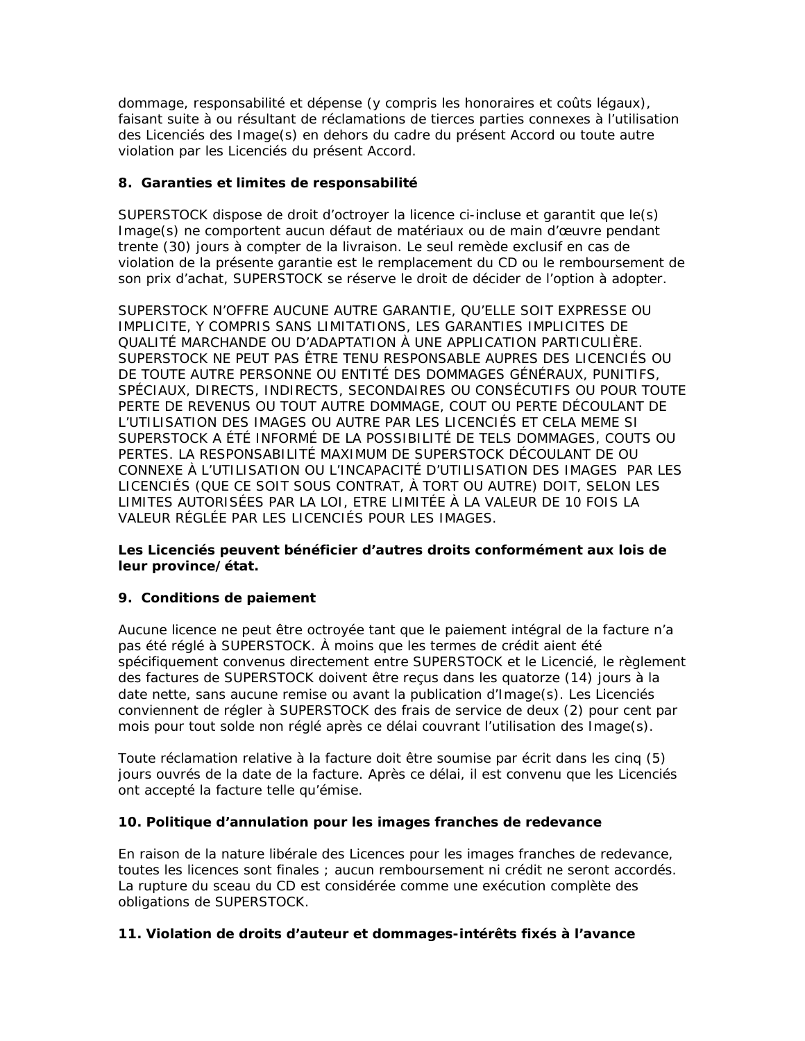dommage, responsabilité et dépense (y compris les honoraires et coûts légaux), faisant suite à ou résultant de réclamations de tierces parties connexes à l'utilisation des Licenciés des Image(s) en dehors du cadre du présent Accord ou toute autre violation par les Licenciés du présent Accord.

# **8. Garanties et limites de responsabilité**

SUPERSTOCK dispose de droit d'octroyer la licence ci-incluse et garantit que le(s) Image(s) ne comportent aucun défaut de matériaux ou de main d'œuvre pendant trente (30) jours à compter de la livraison. Le seul remède exclusif en cas de violation de la présente garantie est le remplacement du CD ou le remboursement de son prix d'achat, SUPERSTOCK se réserve le droit de décider de l'option à adopter.

SUPERSTOCK N'OFFRE AUCUNE AUTRE GARANTIE, QU'ELLE SOIT EXPRESSE OU IMPLICITE, Y COMPRIS SANS LIMITATIONS, LES GARANTIES IMPLICITES DE QUALITÉ MARCHANDE OU D'ADAPTATION À UNE APPLICATION PARTICULIÈRE. SUPERSTOCK NE PEUT PAS ÊTRE TENU RESPONSABLE AUPRES DES LICENCIÉS OU DE TOUTE AUTRE PERSONNE OU ENTITÉ DES DOMMAGES GÉNÉRAUX, PUNITIFS, SPÉCIAUX, DIRECTS, INDIRECTS, SECONDAIRES OU CONSÉCUTIFS OU POUR TOUTE PERTE DE REVENUS OU TOUT AUTRE DOMMAGE, COUT OU PERTE DÉCOULANT DE L'UTILISATION DES IMAGES OU AUTRE PAR LES LICENCIÉS ET CELA MEME SI SUPERSTOCK A ÉTÉ INFORMÉ DE LA POSSIBILITÉ DE TELS DOMMAGES, COUTS OU PERTES. LA RESPONSABILITÉ MAXIMUM DE SUPERSTOCK DÉCOULANT DE OU CONNEXE À L'UTILISATION OU L'INCAPACITÉ D'UTILISATION DES IMAGES PAR LES LICENCIÉS (QUE CE SOIT SOUS CONTRAT, À TORT OU AUTRE) DOIT, SELON LES LIMITES AUTORISÉES PAR LA LOI, ETRE LIMITÉE À LA VALEUR DE 10 FOIS LA VALEUR RÉGLÉE PAR LES LICENCIÉS POUR LES IMAGES.

**Les Licenciés peuvent bénéficier d'autres droits conformément aux lois de leur province/état.** 

# **9. Conditions de paiement**

Aucune licence ne peut être octroyée tant que le paiement intégral de la facture n'a pas été réglé à SUPERSTOCK. À moins que les termes de crédit aient été spécifiquement convenus directement entre SUPERSTOCK et le Licencié, le règlement des factures de SUPERSTOCK doivent être reçus dans les quatorze (14) jours à la date nette, sans aucune remise ou avant la publication d'Image(s). Les Licenciés conviennent de régler à SUPERSTOCK des frais de service de deux (2) pour cent par mois pour tout solde non réglé après ce délai couvrant l'utilisation des Image(s).

Toute réclamation relative à la facture doit être soumise par écrit dans les cinq (5) jours ouvrés de la date de la facture. Après ce délai, il est convenu que les Licenciés ont accepté la facture telle qu'émise.

# **10. Politique d'annulation pour les images franches de redevance**

En raison de la nature libérale des Licences pour les images franches de redevance, toutes les licences sont finales ; aucun remboursement ni crédit ne seront accordés. La rupture du sceau du CD est considérée comme une exécution complète des obligations de SUPERSTOCK.

# **11. Violation de droits d'auteur et dommages-intérêts fixés à l'avance**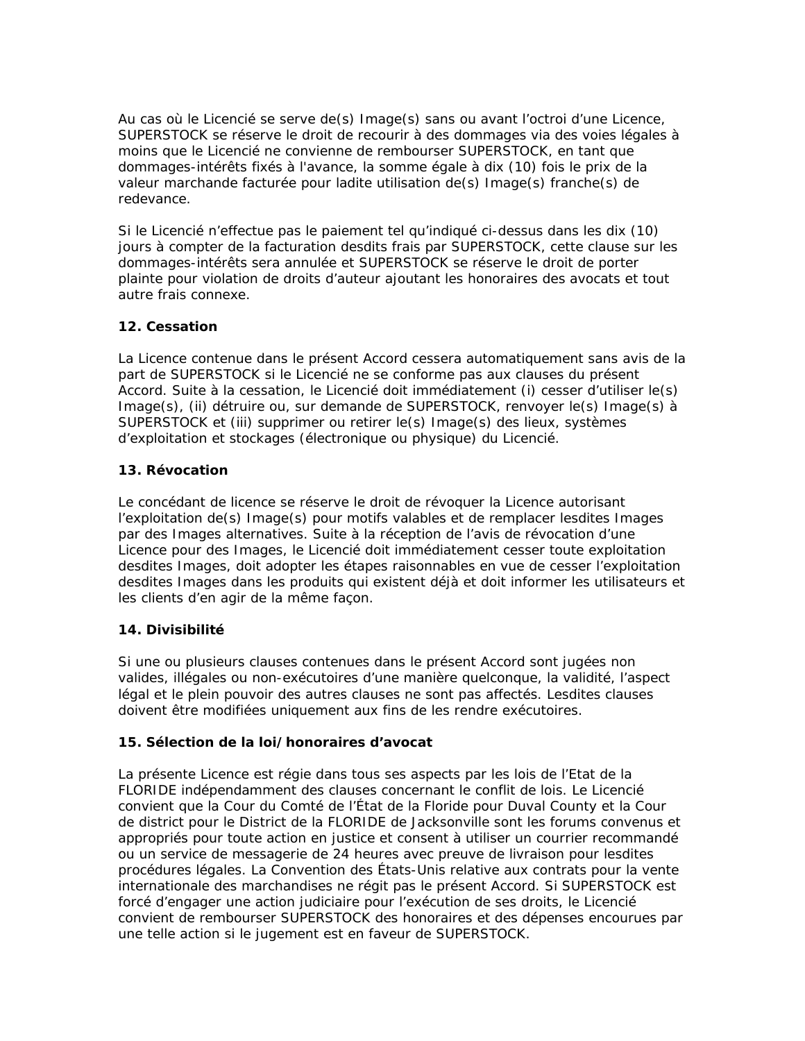Au cas où le Licencié se serve de(s) Image(s) sans ou avant l'octroi d'une Licence, SUPERSTOCK se réserve le droit de recourir à des dommages via des voies légales à moins que le Licencié ne convienne de rembourser SUPERSTOCK, en tant que dommages-intérêts fixés à l'avance, la somme égale à dix (10) fois le prix de la valeur marchande facturée pour ladite utilisation de(s) Image(s) franche(s) de redevance.

Si le Licencié n'effectue pas le paiement tel qu'indiqué ci-dessus dans les dix (10) jours à compter de la facturation desdits frais par SUPERSTOCK, cette clause sur les dommages-intérêts sera annulée et SUPERSTOCK se réserve le droit de porter plainte pour violation de droits d'auteur ajoutant les honoraires des avocats et tout autre frais connexe.

# **12. Cessation**

La Licence contenue dans le présent Accord cessera automatiquement sans avis de la part de SUPERSTOCK si le Licencié ne se conforme pas aux clauses du présent Accord. Suite à la cessation, le Licencié doit immédiatement (i) cesser d'utiliser le(s) Image(s), (ii) détruire ou, sur demande de SUPERSTOCK, renvoyer le(s) Image(s) à SUPERSTOCK et (iii) supprimer ou retirer le(s) Image(s) des lieux, systèmes d'exploitation et stockages (électronique ou physique) du Licencié.

# **13. Révocation**

Le concédant de licence se réserve le droit de révoquer la Licence autorisant l'exploitation de(s) Image(s) pour motifs valables et de remplacer lesdites Images par des Images alternatives. Suite à la réception de l'avis de révocation d'une Licence pour des Images, le Licencié doit immédiatement cesser toute exploitation desdites Images, doit adopter les étapes raisonnables en vue de cesser l'exploitation desdites Images dans les produits qui existent déjà et doit informer les utilisateurs et les clients d'en agir de la même façon.

# **14. Divisibilité**

Si une ou plusieurs clauses contenues dans le présent Accord sont jugées non valides, illégales ou non-exécutoires d'une manière quelconque, la validité, l'aspect légal et le plein pouvoir des autres clauses ne sont pas affectés. Lesdites clauses doivent être modifiées uniquement aux fins de les rendre exécutoires.

# **15. Sélection de la loi/honoraires d'avocat**

La présente Licence est régie dans tous ses aspects par les lois de l'Etat de la FLORIDE indépendamment des clauses concernant le conflit de lois. Le Licencié convient que la Cour du Comté de l'État de la Floride pour Duval County et la Cour de district pour le District de la FLORIDE de Jacksonville sont les forums convenus et appropriés pour toute action en justice et consent à utiliser un courrier recommandé ou un service de messagerie de 24 heures avec preuve de livraison pour lesdites procédures légales. La Convention des États-Unis relative aux contrats pour la vente internationale des marchandises ne régit pas le présent Accord. Si SUPERSTOCK est forcé d'engager une action judiciaire pour l'exécution de ses droits, le Licencié convient de rembourser SUPERSTOCK des honoraires et des dépenses encourues par une telle action si le jugement est en faveur de SUPERSTOCK.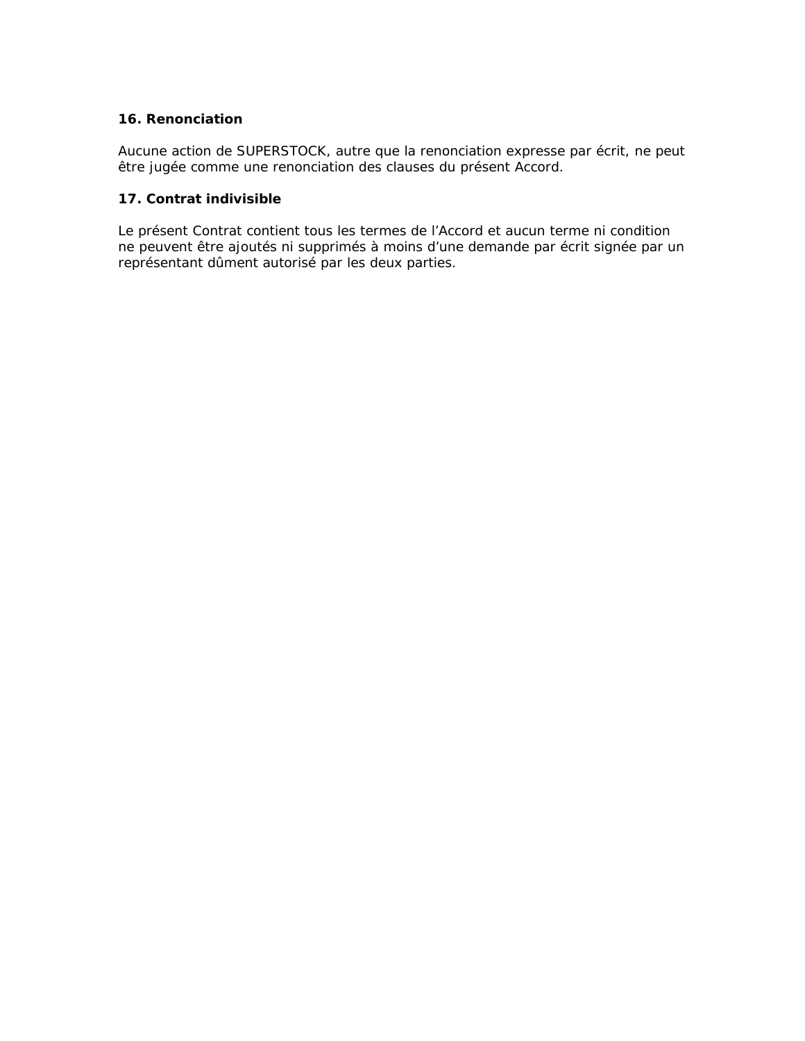#### **16. Renonciation**

Aucune action de SUPERSTOCK, autre que la renonciation expresse par écrit, ne peut être jugée comme une renonciation des clauses du présent Accord.

# **17. Contrat indivisible**

Le présent Contrat contient tous les termes de l'Accord et aucun terme ni condition ne peuvent être ajoutés ni supprimés à moins d'une demande par écrit signée par un représentant dûment autorisé par les deux parties.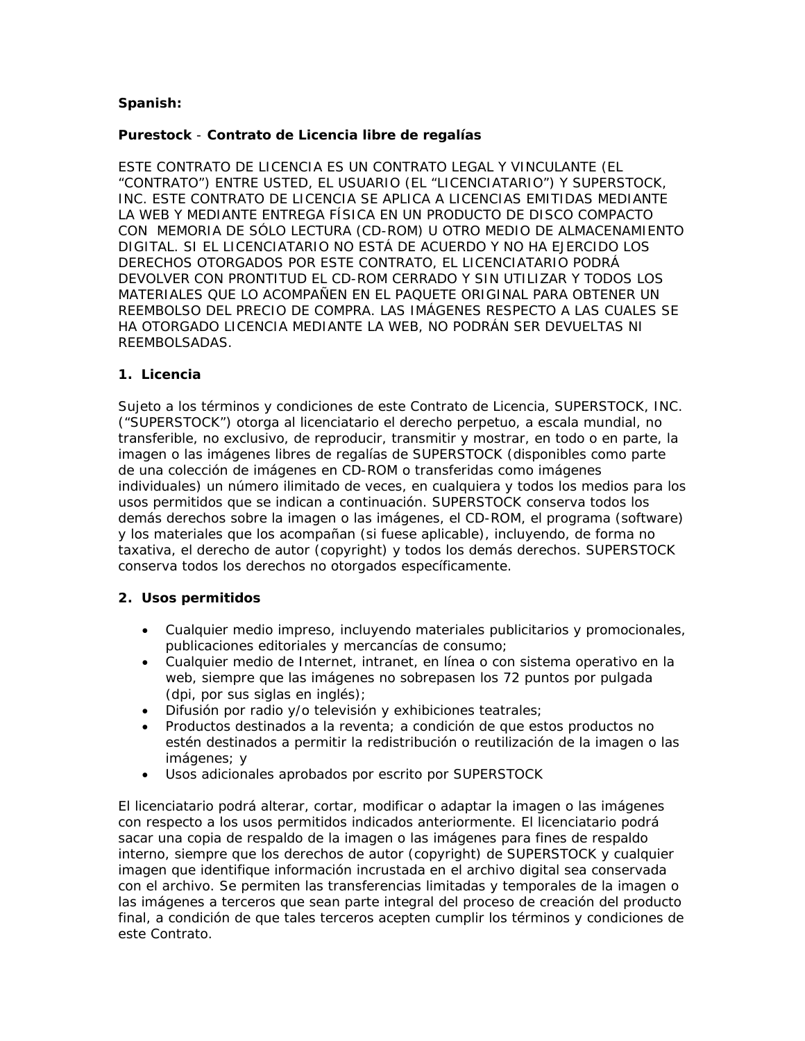# **Spanish:**

# **Purestock** - **Contrato de Licencia libre de regalías**

ESTE CONTRATO DE LICENCIA ES UN CONTRATO LEGAL Y VINCULANTE (EL "CONTRATO") ENTRE USTED, EL USUARIO (EL "LICENCIATARIO") Y SUPERSTOCK, INC. ESTE CONTRATO DE LICENCIA SE APLICA A LICENCIAS EMITIDAS MEDIANTE LA WEB Y MEDIANTE ENTREGA FÍSICA EN UN PRODUCTO DE DISCO COMPACTO CON MEMORIA DE SÓLO LECTURA (CD-ROM) U OTRO MEDIO DE ALMACENAMIENTO DIGITAL. SI EL LICENCIATARIO NO ESTÁ DE ACUERDO Y NO HA EJERCIDO LOS DERECHOS OTORGADOS POR ESTE CONTRATO, EL LICENCIATARIO PODRÁ DEVOLVER CON PRONTITUD EL CD-ROM CERRADO Y SIN UTILIZAR Y TODOS LOS MATERIALES QUE LO ACOMPAÑEN EN EL PAQUETE ORIGINAL PARA OBTENER UN REEMBOLSO DEL PRECIO DE COMPRA. LAS IMÁGENES RESPECTO A LAS CUALES SE HA OTORGADO LICENCIA MEDIANTE LA WEB, NO PODRÁN SER DEVUELTAS NI REEMBOLSADAS.

#### **1. Licencia**

Sujeto a los términos y condiciones de este Contrato de Licencia, SUPERSTOCK, INC. ("SUPERSTOCK") otorga al licenciatario el derecho perpetuo, a escala mundial, no transferible, no exclusivo, de reproducir, transmitir y mostrar, en todo o en parte, la imagen o las imágenes libres de regalías de SUPERSTOCK (disponibles como parte de una colección de imágenes en CD-ROM o transferidas como imágenes individuales) un número ilimitado de veces, en cualquiera y todos los medios para los usos permitidos que se indican a continuación. SUPERSTOCK conserva todos los demás derechos sobre la imagen o las imágenes, el CD-ROM, el programa (software) y los materiales que los acompañan (si fuese aplicable), incluyendo, de forma no taxativa, el derecho de autor (copyright) y todos los demás derechos. SUPERSTOCK conserva todos los derechos no otorgados específicamente.

# **2. Usos permitidos**

- Cualquier medio impreso, incluyendo materiales publicitarios y promocionales, publicaciones editoriales y mercancías de consumo;
- Cualquier medio de Internet, intranet, en línea o con sistema operativo en la web, siempre que las imágenes no sobrepasen los 72 puntos por pulgada (dpi, por sus siglas en inglés);
- Difusión por radio y/o televisión y exhibiciones teatrales;
- Productos destinados a la reventa; a condición de que estos productos no estén destinados a permitir la redistribución o reutilización de la imagen o las imágenes; y
- Usos adicionales aprobados por escrito por SUPERSTOCK

El licenciatario podrá alterar, cortar, modificar o adaptar la imagen o las imágenes con respecto a los usos permitidos indicados anteriormente. El licenciatario podrá sacar una copia de respaldo de la imagen o las imágenes para fines de respaldo interno, siempre que los derechos de autor (copyright) de SUPERSTOCK y cualquier imagen que identifique información incrustada en el archivo digital sea conservada con el archivo. Se permiten las transferencias limitadas y temporales de la imagen o las imágenes a terceros que sean parte integral del proceso de creación del producto final, a condición de que tales terceros acepten cumplir los términos y condiciones de este Contrato.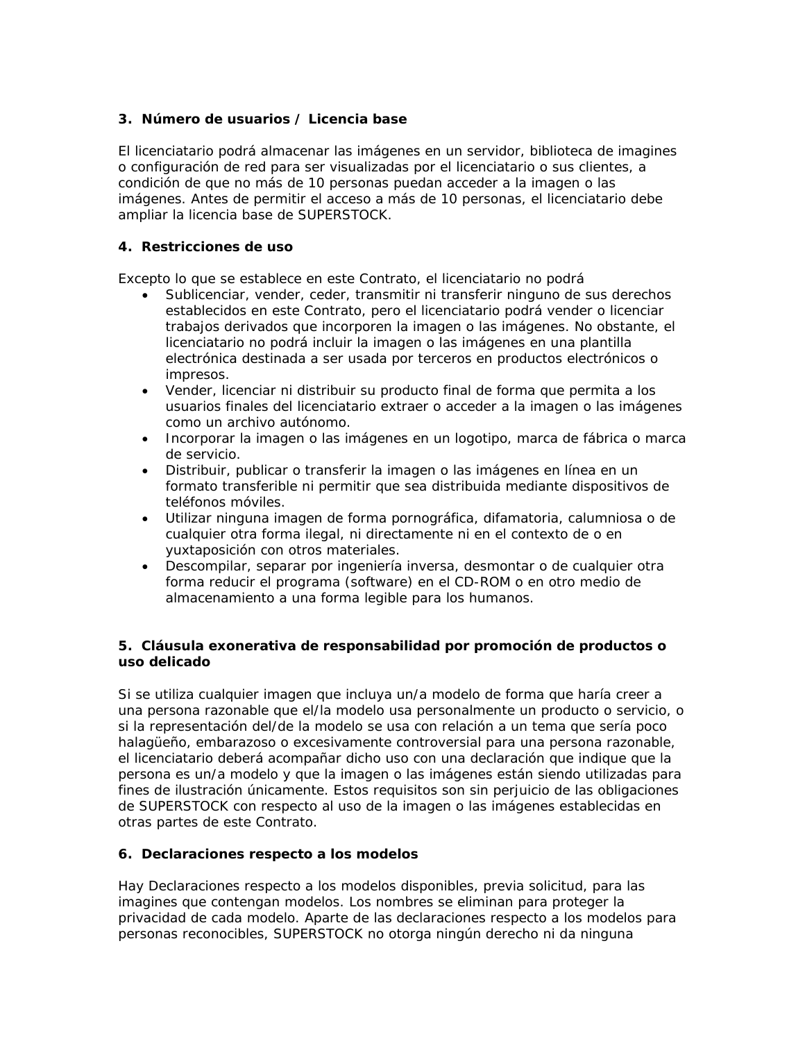# **3. Número de usuarios / Licencia base**

El licenciatario podrá almacenar las imágenes en un servidor, biblioteca de imagines o configuración de red para ser visualizadas por el licenciatario o sus clientes, a condición de que no más de 10 personas puedan acceder a la imagen o las imágenes. Antes de permitir el acceso a más de 10 personas, el licenciatario debe ampliar la licencia base de SUPERSTOCK.

# **4. Restricciones de uso**

Excepto lo que se establece en este Contrato, el licenciatario no podrá

- Sublicenciar, vender, ceder, transmitir ni transferir ninguno de sus derechos establecidos en este Contrato, pero el licenciatario podrá vender o licenciar trabajos derivados que incorporen la imagen o las imágenes. No obstante, el licenciatario no podrá incluir la imagen o las imágenes en una plantilla electrónica destinada a ser usada por terceros en productos electrónicos o impresos.
- Vender, licenciar ni distribuir su producto final de forma que permita a los usuarios finales del licenciatario extraer o acceder a la imagen o las imágenes como un archivo autónomo.
- Incorporar la imagen o las imágenes en un logotipo, marca de fábrica o marca de servicio.
- Distribuir, publicar o transferir la imagen o las imágenes en línea en un formato transferible ni permitir que sea distribuida mediante dispositivos de teléfonos móviles.
- Utilizar ninguna imagen de forma pornográfica, difamatoria, calumniosa o de cualquier otra forma ilegal, ni directamente ni en el contexto de o en yuxtaposición con otros materiales.
- Descompilar, separar por ingeniería inversa, desmontar o de cualquier otra forma reducir el programa (software) en el CD-ROM o en otro medio de almacenamiento a una forma legible para los humanos.

# **5. Cláusula exonerativa de responsabilidad por promoción de productos o uso delicado**

Si se utiliza cualquier imagen que incluya un/a modelo de forma que haría creer a una persona razonable que el/la modelo usa personalmente un producto o servicio, o si la representación del/de la modelo se usa con relación a un tema que sería poco halagüeño, embarazoso o excesivamente controversial para una persona razonable, el licenciatario deberá acompañar dicho uso con una declaración que indique que la persona es un/a modelo y que la imagen o las imágenes están siendo utilizadas para fines de ilustración únicamente. Estos requisitos son sin perjuicio de las obligaciones de SUPERSTOCK con respecto al uso de la imagen o las imágenes establecidas en otras partes de este Contrato.

# **6. Declaraciones respecto a los modelos**

Hay Declaraciones respecto a los modelos disponibles, previa solicitud, para las imagines que contengan modelos. Los nombres se eliminan para proteger la privacidad de cada modelo. Aparte de las declaraciones respecto a los modelos para personas reconocibles, SUPERSTOCK no otorga ningún derecho ni da ninguna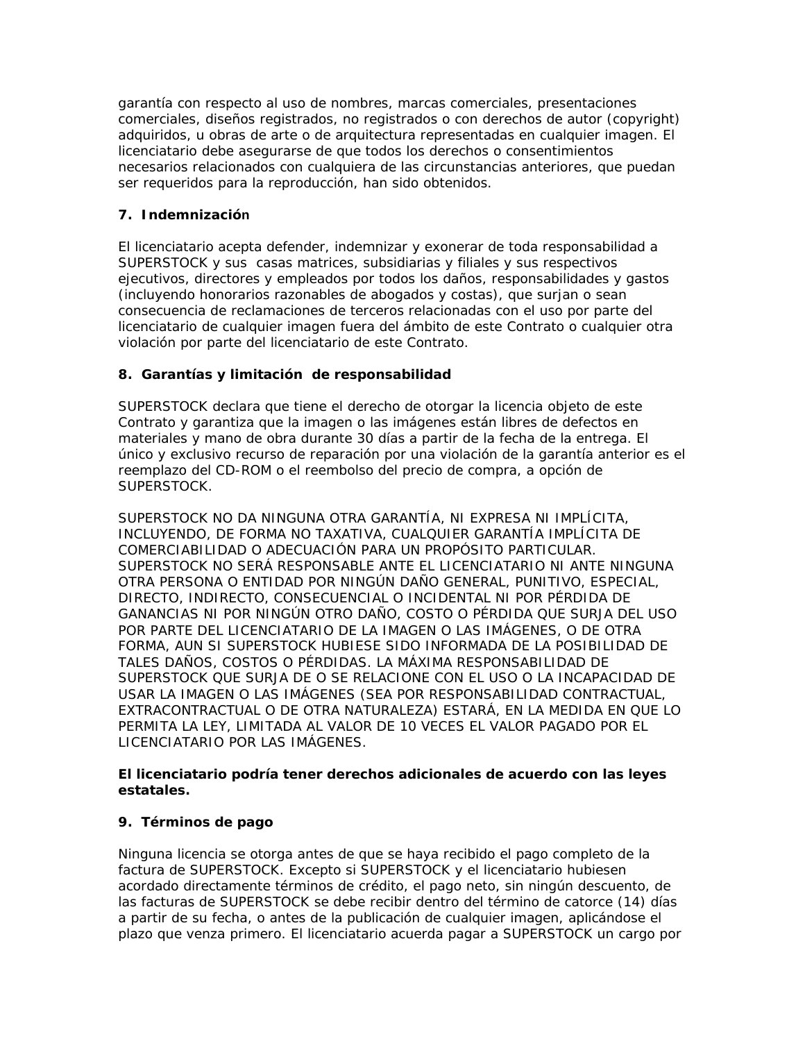garantía con respecto al uso de nombres, marcas comerciales, presentaciones comerciales, diseños registrados, no registrados o con derechos de autor (copyright) adquiridos, u obras de arte o de arquitectura representadas en cualquier imagen. El licenciatario debe asegurarse de que todos los derechos o consentimientos necesarios relacionados con cualquiera de las circunstancias anteriores, que puedan ser requeridos para la reproducción, han sido obtenidos.

# **7. Indemnización**

El licenciatario acepta defender, indemnizar y exonerar de toda responsabilidad a SUPERSTOCK y sus casas matrices, subsidiarias y filiales y sus respectivos ejecutivos, directores y empleados por todos los daños, responsabilidades y gastos (incluyendo honorarios razonables de abogados y costas), que surjan o sean consecuencia de reclamaciones de terceros relacionadas con el uso por parte del licenciatario de cualquier imagen fuera del ámbito de este Contrato o cualquier otra violación por parte del licenciatario de este Contrato.

# **8. Garantías y limitación de responsabilidad**

SUPERSTOCK declara que tiene el derecho de otorgar la licencia objeto de este Contrato y garantiza que la imagen o las imágenes están libres de defectos en materiales y mano de obra durante 30 días a partir de la fecha de la entrega. El único y exclusivo recurso de reparación por una violación de la garantía anterior es el reemplazo del CD-ROM o el reembolso del precio de compra, a opción de SUPERSTOCK.

SUPERSTOCK NO DA NINGUNA OTRA GARANTÍA, NI EXPRESA NI IMPLÍCITA, INCLUYENDO, DE FORMA NO TAXATIVA, CUALQUIER GARANTÍA IMPLÍCITA DE COMERCIABILIDAD O ADECUACIÓN PARA UN PROPÓSITO PARTICULAR. SUPERSTOCK NO SERÁ RESPONSABLE ANTE EL LICENCIATARIO NI ANTE NINGUNA OTRA PERSONA O ENTIDAD POR NINGÚN DAÑO GENERAL, PUNITIVO, ESPECIAL, DIRECTO, INDIRECTO, CONSECUENCIAL O INCIDENTAL NI POR PÉRDIDA DE GANANCIAS NI POR NINGÚN OTRO DAÑO, COSTO O PÉRDIDA QUE SURJA DEL USO POR PARTE DEL LICENCIATARIO DE LA IMAGEN O LAS IMÁGENES, O DE OTRA FORMA, AUN SI SUPERSTOCK HUBIESE SIDO INFORMADA DE LA POSIBILIDAD DE TALES DAÑOS, COSTOS O PÉRDIDAS. LA MÁXIMA RESPONSABILIDAD DE SUPERSTOCK QUE SURJA DE O SE RELACIONE CON EL USO O LA INCAPACIDAD DE USAR LA IMAGEN O LAS IMÁGENES (SEA POR RESPONSABILIDAD CONTRACTUAL, EXTRACONTRACTUAL O DE OTRA NATURALEZA) ESTARÁ, EN LA MEDIDA EN QUE LO PERMITA LA LEY, LIMITADA AL VALOR DE 10 VECES EL VALOR PAGADO POR EL LICENCIATARIO POR LAS IMÁGENES.

# **El licenciatario podría tener derechos adicionales de acuerdo con las leyes estatales.**

# **9. Términos de pago**

Ninguna licencia se otorga antes de que se haya recibido el pago completo de la factura de SUPERSTOCK. Excepto si SUPERSTOCK y el licenciatario hubiesen acordado directamente términos de crédito, el pago neto, sin ningún descuento, de las facturas de SUPERSTOCK se debe recibir dentro del término de catorce (14) días a partir de su fecha, o antes de la publicación de cualquier imagen, aplicándose el plazo que venza primero. El licenciatario acuerda pagar a SUPERSTOCK un cargo por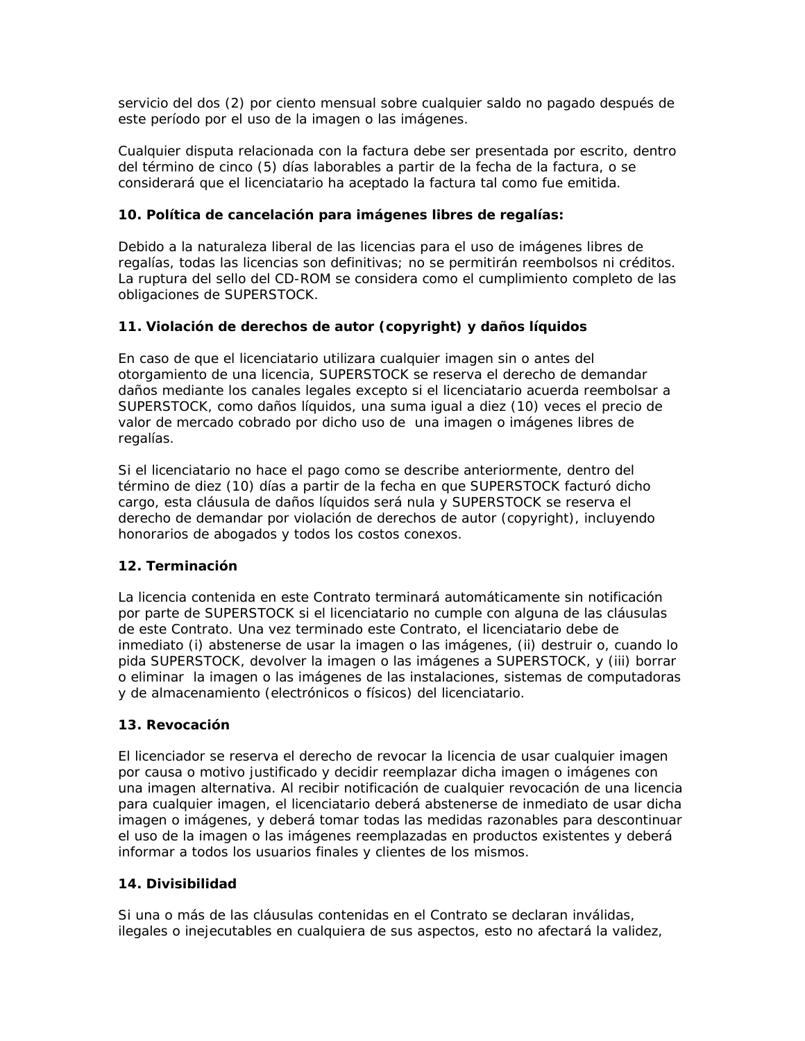servicio del dos (2) por ciento mensual sobre cualquier saldo no pagado después de este período por el uso de la imagen o las imágenes.

Cualquier disputa relacionada con la factura debe ser presentada por escrito, dentro del término de cinco (5) días laborables a partir de la fecha de la factura, o se considerará que el licenciatario ha aceptado la factura tal como fue emitida.

# **10. Política de cancelación para imágenes libres de regalías:**

Debido a la naturaleza liberal de las licencias para el uso de imágenes libres de regalías, todas las licencias son definitivas; no se permitirán reembolsos ni créditos. La ruptura del sello del CD-ROM se considera como el cumplimiento completo de las obligaciones de SUPERSTOCK.

# **11. Violación de derechos de autor (copyright) y daños líquidos**

En caso de que el licenciatario utilizara cualquier imagen sin o antes del otorgamiento de una licencia, SUPERSTOCK se reserva el derecho de demandar daños mediante los canales legales excepto si el licenciatario acuerda reembolsar a SUPERSTOCK, como daños líquidos, una suma igual a diez (10) veces el precio de valor de mercado cobrado por dicho uso de una imagen o imágenes libres de regalías.

Si el licenciatario no hace el pago como se describe anteriormente, dentro del término de diez (10) días a partir de la fecha en que SUPERSTOCK facturó dicho cargo, esta cláusula de daños líquidos será nula y SUPERSTOCK se reserva el derecho de demandar por violación de derechos de autor (copyright), incluyendo honorarios de abogados y todos los costos conexos.

# **12. Terminación**

La licencia contenida en este Contrato terminará automáticamente sin notificación por parte de SUPERSTOCK si el licenciatario no cumple con alguna de las cláusulas de este Contrato. Una vez terminado este Contrato, el licenciatario debe de inmediato (i) abstenerse de usar la imagen o las imágenes, (ii) destruir o, cuando lo pida SUPERSTOCK, devolver la imagen o las imágenes a SUPERSTOCK, y (iii) borrar o eliminar la imagen o las imágenes de las instalaciones, sistemas de computadoras y de almacenamiento (electrónicos o físicos) del licenciatario.

# **13. Revocación**

El licenciador se reserva el derecho de revocar la licencia de usar cualquier imagen por causa o motivo justificado y decidir reemplazar dicha imagen o imágenes con una imagen alternativa. Al recibir notificación de cualquier revocación de una licencia para cualquier imagen, el licenciatario deberá abstenerse de inmediato de usar dicha imagen o imágenes, y deberá tomar todas las medidas razonables para descontinuar el uso de la imagen o las imágenes reemplazadas en productos existentes y deberá informar a todos los usuarios finales y clientes de los mismos.

# **14. Divisibilidad**

Si una o más de las cláusulas contenidas en el Contrato se declaran inválidas, ilegales o inejecutables en cualquiera de sus aspectos, esto no afectará la validez,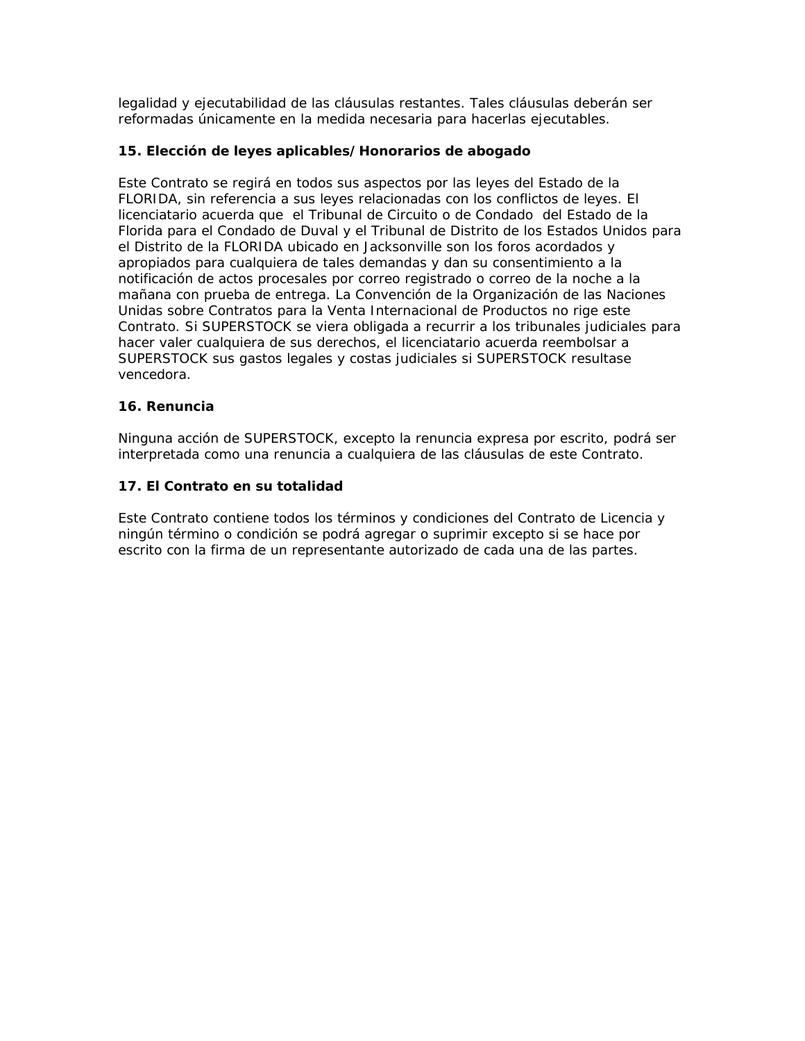legalidad y ejecutabilidad de las cláusulas restantes. Tales cláusulas deberán ser reformadas únicamente en la medida necesaria para hacerlas ejecutables.

# **15. Elección de leyes aplicables/Honorarios de abogado**

Este Contrato se regirá en todos sus aspectos por las leyes del Estado de la FLORIDA, sin referencia a sus leyes relacionadas con los conflictos de leyes. El licenciatario acuerda que el Tribunal de Circuito o de Condado del Estado de la Florida para el Condado de Duval y el Tribunal de Distrito de los Estados Unidos para el Distrito de la FLORIDA ubicado en Jacksonville son los foros acordados y apropiados para cualquiera de tales demandas y dan su consentimiento a la notificación de actos procesales por correo registrado o correo de la noche a la mañana con prueba de entrega. La Convención de la Organización de las Naciones Unidas sobre Contratos para la Venta Internacional de Productos no rige este Contrato. Si SUPERSTOCK se viera obligada a recurrir a los tribunales judiciales para hacer valer cualquiera de sus derechos, el licenciatario acuerda reembolsar a SUPERSTOCK sus gastos legales y costas judiciales si SUPERSTOCK resultase vencedora.

# **16. Renuncia**

Ninguna acción de SUPERSTOCK, excepto la renuncia expresa por escrito, podrá ser interpretada como una renuncia a cualquiera de las cláusulas de este Contrato.

# **17. El Contrato en su totalidad**

Este Contrato contiene todos los términos y condiciones del Contrato de Licencia y ningún término o condición se podrá agregar o suprimir excepto si se hace por escrito con la firma de un representante autorizado de cada una de las partes.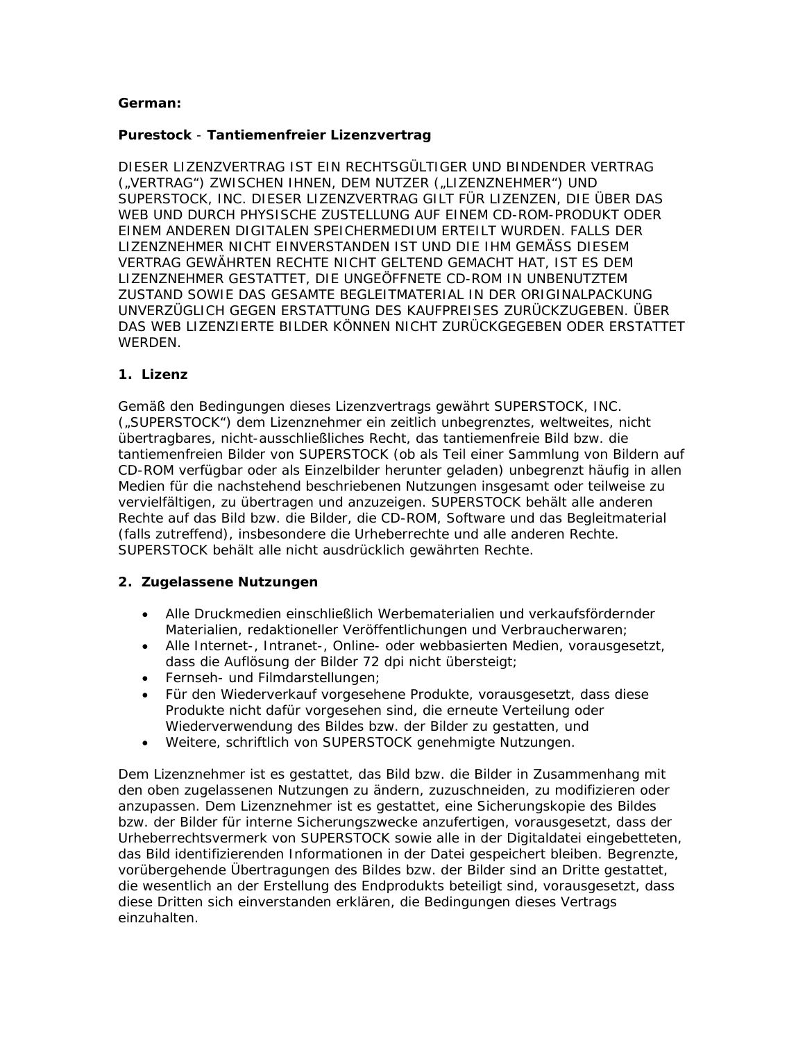# **German:**

# **Purestock** - **Tantiemenfreier Lizenzvertrag**

DIESER LIZENZVERTRAG IST EIN RECHTSGÜLTIGER UND BINDENDER VERTRAG ("VERTRAG") ZWISCHEN IHNEN, DEM NUTZER ("LIZENZNEHMER") UND SUPERSTOCK, INC. DIESER LIZENZVERTRAG GILT FÜR LIZENZEN, DIE ÜBER DAS WEB UND DURCH PHYSISCHE ZUSTELLUNG AUF EINEM CD-ROM-PRODUKT ODER EINEM ANDEREN DIGITALEN SPEICHERMEDIUM ERTEILT WURDEN. FALLS DER LIZENZNEHMER NICHT EINVERSTANDEN IST UND DIE IHM GEMÄSS DIESEM VERTRAG GEWÄHRTEN RECHTE NICHT GELTEND GEMACHT HAT, IST ES DEM LIZENZNEHMER GESTATTET, DIE UNGEÖFFNETE CD-ROM IN UNBENUTZTEM ZUSTAND SOWIE DAS GESAMTE BEGLEITMATERIAL IN DER ORIGINALPACKUNG UNVERZÜGLICH GEGEN ERSTATTUNG DES KAUFPREISES ZURÜCKZUGEBEN. ÜBER DAS WEB LIZENZIERTE BILDER KÖNNEN NICHT ZURÜCKGEGEBEN ODER ERSTATTET WERDEN.

# **1. Lizenz**

Gemäß den Bedingungen dieses Lizenzvertrags gewährt SUPERSTOCK, INC. ("SUPERSTOCK") dem Lizenznehmer ein zeitlich unbegrenztes, weltweites, nicht übertragbares, nicht-ausschließliches Recht, das tantiemenfreie Bild bzw. die tantiemenfreien Bilder von SUPERSTOCK (ob als Teil einer Sammlung von Bildern auf CD-ROM verfügbar oder als Einzelbilder herunter geladen) unbegrenzt häufig in allen Medien für die nachstehend beschriebenen Nutzungen insgesamt oder teilweise zu vervielfältigen, zu übertragen und anzuzeigen. SUPERSTOCK behält alle anderen Rechte auf das Bild bzw. die Bilder, die CD-ROM, Software und das Begleitmaterial (falls zutreffend), insbesondere die Urheberrechte und alle anderen Rechte. SUPERSTOCK behält alle nicht ausdrücklich gewährten Rechte.

# **2. Zugelassene Nutzungen**

- Alle Druckmedien einschließlich Werbematerialien und verkaufsfördernder Materialien, redaktioneller Veröffentlichungen und Verbraucherwaren;
- Alle Internet-, Intranet-, Online- oder webbasierten Medien, vorausgesetzt, dass die Auflösung der Bilder 72 dpi nicht übersteigt;
- Fernseh- und Filmdarstellungen;
- Für den Wiederverkauf vorgesehene Produkte, vorausgesetzt, dass diese Produkte nicht dafür vorgesehen sind, die erneute Verteilung oder Wiederverwendung des Bildes bzw. der Bilder zu gestatten, und
- Weitere, schriftlich von SUPERSTOCK genehmigte Nutzungen.

Dem Lizenznehmer ist es gestattet, das Bild bzw. die Bilder in Zusammenhang mit den oben zugelassenen Nutzungen zu ändern, zuzuschneiden, zu modifizieren oder anzupassen. Dem Lizenznehmer ist es gestattet, eine Sicherungskopie des Bildes bzw. der Bilder für interne Sicherungszwecke anzufertigen, vorausgesetzt, dass der Urheberrechtsvermerk von SUPERSTOCK sowie alle in der Digitaldatei eingebetteten, das Bild identifizierenden Informationen in der Datei gespeichert bleiben. Begrenzte, vorübergehende Übertragungen des Bildes bzw. der Bilder sind an Dritte gestattet, die wesentlich an der Erstellung des Endprodukts beteiligt sind, vorausgesetzt, dass diese Dritten sich einverstanden erklären, die Bedingungen dieses Vertrags einzuhalten.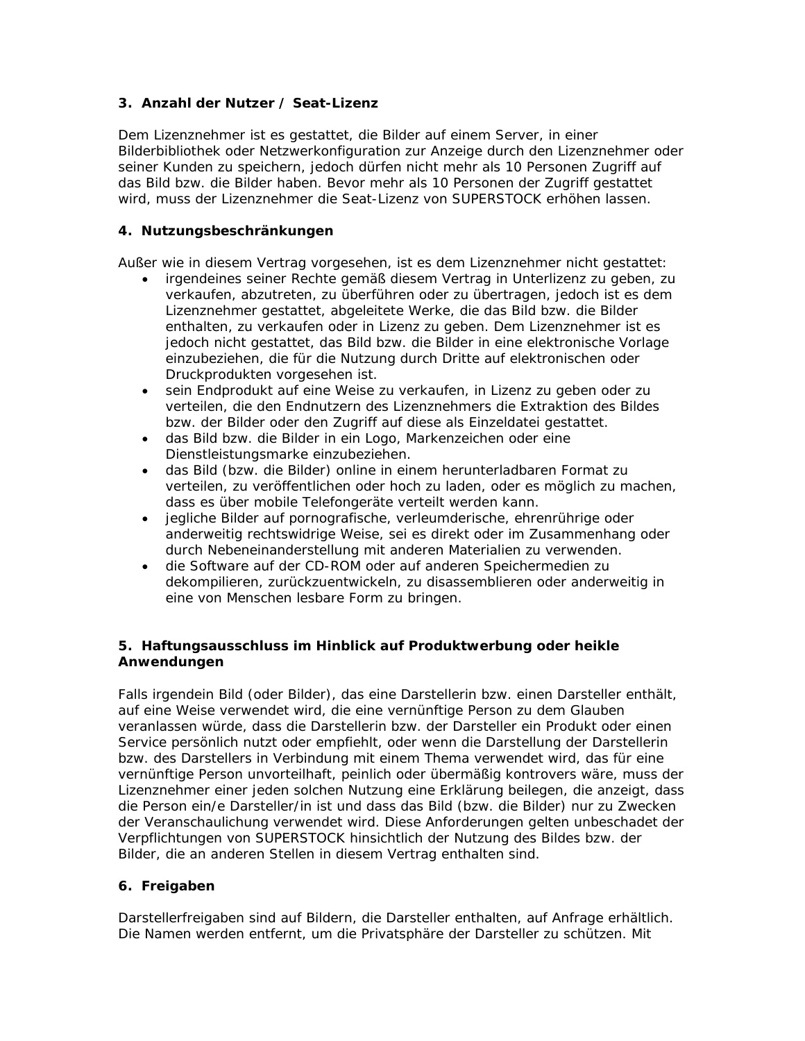# **3. Anzahl der Nutzer / Seat-Lizenz**

Dem Lizenznehmer ist es gestattet, die Bilder auf einem Server, in einer Bilderbibliothek oder Netzwerkonfiguration zur Anzeige durch den Lizenznehmer oder seiner Kunden zu speichern, jedoch dürfen nicht mehr als 10 Personen Zugriff auf das Bild bzw. die Bilder haben. Bevor mehr als 10 Personen der Zugriff gestattet wird, muss der Lizenznehmer die Seat-Lizenz von SUPERSTOCK erhöhen lassen.

# **4. Nutzungsbeschränkungen**

Außer wie in diesem Vertrag vorgesehen, ist es dem Lizenznehmer nicht gestattet:

- irgendeines seiner Rechte gemäß diesem Vertrag in Unterlizenz zu geben, zu verkaufen, abzutreten, zu überführen oder zu übertragen, jedoch ist es dem Lizenznehmer gestattet, abgeleitete Werke, die das Bild bzw. die Bilder enthalten, zu verkaufen oder in Lizenz zu geben. Dem Lizenznehmer ist es jedoch nicht gestattet, das Bild bzw. die Bilder in eine elektronische Vorlage einzubeziehen, die für die Nutzung durch Dritte auf elektronischen oder Druckprodukten vorgesehen ist.
- sein Endprodukt auf eine Weise zu verkaufen, in Lizenz zu geben oder zu verteilen, die den Endnutzern des Lizenznehmers die Extraktion des Bildes bzw. der Bilder oder den Zugriff auf diese als Einzeldatei gestattet.
- das Bild bzw. die Bilder in ein Logo, Markenzeichen oder eine Dienstleistungsmarke einzubeziehen.
- das Bild (bzw. die Bilder) online in einem herunterladbaren Format zu verteilen, zu veröffentlichen oder hoch zu laden, oder es möglich zu machen, dass es über mobile Telefongeräte verteilt werden kann.
- jegliche Bilder auf pornografische, verleumderische, ehrenrührige oder anderweitig rechtswidrige Weise, sei es direkt oder im Zusammenhang oder durch Nebeneinanderstellung mit anderen Materialien zu verwenden.
- die Software auf der CD-ROM oder auf anderen Speichermedien zu dekompilieren, zurückzuentwickeln, zu disassemblieren oder anderweitig in eine von Menschen lesbare Form zu bringen.

# **5. Haftungsausschluss im Hinblick auf Produktwerbung oder heikle Anwendungen**

Falls irgendein Bild (oder Bilder), das eine Darstellerin bzw. einen Darsteller enthält, auf eine Weise verwendet wird, die eine vernünftige Person zu dem Glauben veranlassen würde, dass die Darstellerin bzw. der Darsteller ein Produkt oder einen Service persönlich nutzt oder empfiehlt, oder wenn die Darstellung der Darstellerin bzw. des Darstellers in Verbindung mit einem Thema verwendet wird, das für eine vernünftige Person unvorteilhaft, peinlich oder übermäßig kontrovers wäre, muss der Lizenznehmer einer jeden solchen Nutzung eine Erklärung beilegen, die anzeigt, dass die Person ein/e Darsteller/in ist und dass das Bild (bzw. die Bilder) nur zu Zwecken der Veranschaulichung verwendet wird. Diese Anforderungen gelten unbeschadet der Verpflichtungen von SUPERSTOCK hinsichtlich der Nutzung des Bildes bzw. der Bilder, die an anderen Stellen in diesem Vertrag enthalten sind.

# **6. Freigaben**

Darstellerfreigaben sind auf Bildern, die Darsteller enthalten, auf Anfrage erhältlich. Die Namen werden entfernt, um die Privatsphäre der Darsteller zu schützen. Mit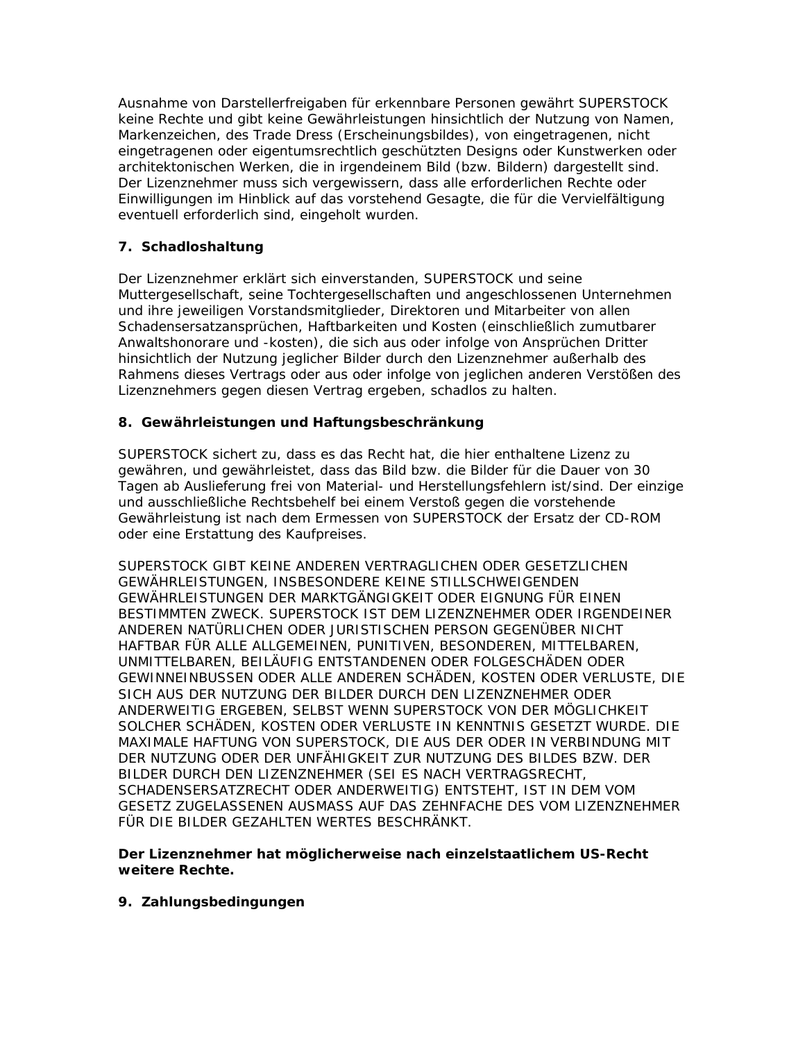Ausnahme von Darstellerfreigaben für erkennbare Personen gewährt SUPERSTOCK keine Rechte und gibt keine Gewährleistungen hinsichtlich der Nutzung von Namen, Markenzeichen, des Trade Dress (Erscheinungsbildes), von eingetragenen, nicht eingetragenen oder eigentumsrechtlich geschützten Designs oder Kunstwerken oder architektonischen Werken, die in irgendeinem Bild (bzw. Bildern) dargestellt sind. Der Lizenznehmer muss sich vergewissern, dass alle erforderlichen Rechte oder Einwilligungen im Hinblick auf das vorstehend Gesagte, die für die Vervielfältigung eventuell erforderlich sind, eingeholt wurden.

# **7. Schadloshaltung**

Der Lizenznehmer erklärt sich einverstanden, SUPERSTOCK und seine Muttergesellschaft, seine Tochtergesellschaften und angeschlossenen Unternehmen und ihre jeweiligen Vorstandsmitglieder, Direktoren und Mitarbeiter von allen Schadensersatzansprüchen, Haftbarkeiten und Kosten (einschließlich zumutbarer Anwaltshonorare und -kosten), die sich aus oder infolge von Ansprüchen Dritter hinsichtlich der Nutzung jeglicher Bilder durch den Lizenznehmer außerhalb des Rahmens dieses Vertrags oder aus oder infolge von jeglichen anderen Verstößen des Lizenznehmers gegen diesen Vertrag ergeben, schadlos zu halten.

# **8. Gewährleistungen und Haftungsbeschränkung**

SUPERSTOCK sichert zu, dass es das Recht hat, die hier enthaltene Lizenz zu gewähren, und gewährleistet, dass das Bild bzw. die Bilder für die Dauer von 30 Tagen ab Auslieferung frei von Material- und Herstellungsfehlern ist/sind. Der einzige und ausschließliche Rechtsbehelf bei einem Verstoß gegen die vorstehende Gewährleistung ist nach dem Ermessen von SUPERSTOCK der Ersatz der CD-ROM oder eine Erstattung des Kaufpreises.

SUPERSTOCK GIBT KEINE ANDEREN VERTRAGLICHEN ODER GESETZLICHEN GEWÄHRLEISTUNGEN, INSBESONDERE KEINE STILLSCHWEIGENDEN GEWÄHRLEISTUNGEN DER MARKTGÄNGIGKEIT ODER EIGNUNG FÜR EINEN BESTIMMTEN ZWECK. SUPERSTOCK IST DEM LIZENZNEHMER ODER IRGENDEINER ANDEREN NATÜRLICHEN ODER JURISTISCHEN PERSON GEGENÜBER NICHT HAFTBAR FÜR ALLE ALLGEMEINEN, PUNITIVEN, BESONDEREN, MITTELBAREN, UNMITTELBAREN, BEILÄUFIG ENTSTANDENEN ODER FOLGESCHÄDEN ODER GEWINNEINBUSSEN ODER ALLE ANDEREN SCHÄDEN, KOSTEN ODER VERLUSTE, DIE SICH AUS DER NUTZUNG DER BILDER DURCH DEN LIZENZNEHMER ODER ANDERWEITIG ERGEBEN, SELBST WENN SUPERSTOCK VON DER MÖGLICHKEIT SOLCHER SCHÄDEN, KOSTEN ODER VERLUSTE IN KENNTNIS GESETZT WURDE. DIE MAXIMALE HAFTUNG VON SUPERSTOCK, DIE AUS DER ODER IN VERBINDUNG MIT DER NUTZUNG ODER DER UNFÄHIGKEIT ZUR NUTZUNG DES BILDES BZW. DER BILDER DURCH DEN LIZENZNEHMER (SEI ES NACH VERTRAGSRECHT, SCHADENSERSATZRECHT ODER ANDERWEITIG) ENTSTEHT, IST IN DEM VOM GESETZ ZUGELASSENEN AUSMASS AUF DAS ZEHNFACHE DES VOM LIZENZNEHMER FÜR DIE BILDER GEZAHLTEN WERTES BESCHRÄNKT.

**Der Lizenznehmer hat möglicherweise nach einzelstaatlichem US-Recht weitere Rechte.** 

**9. Zahlungsbedingungen**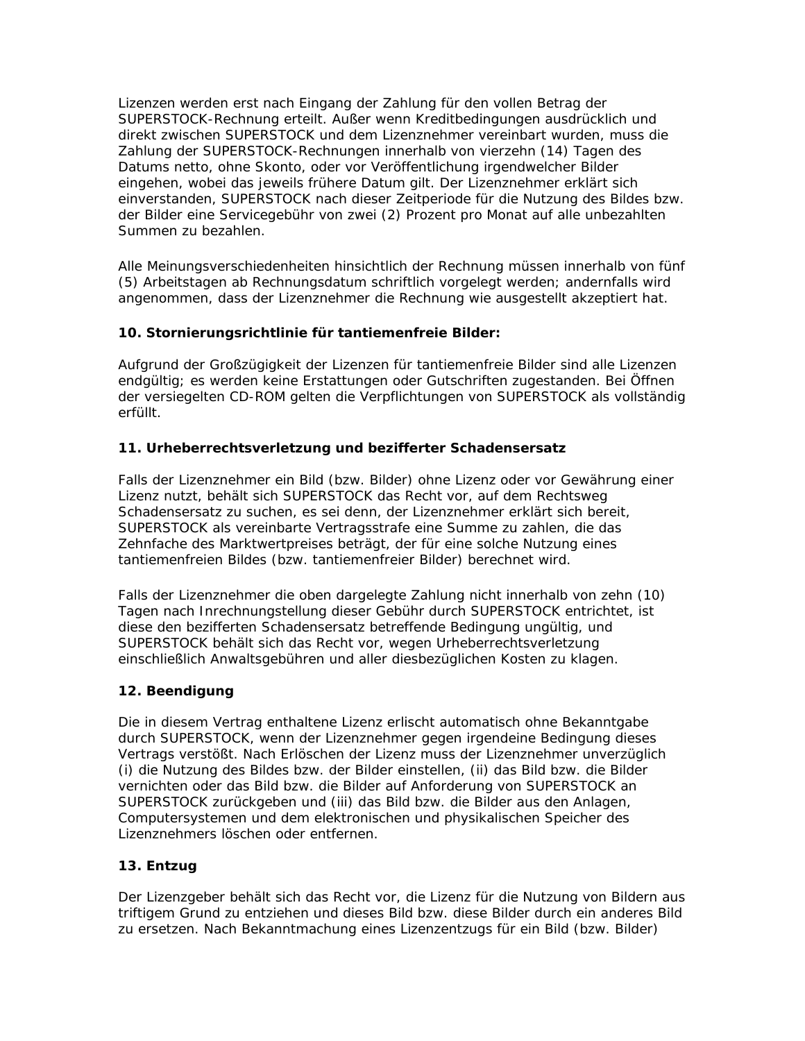Lizenzen werden erst nach Eingang der Zahlung für den vollen Betrag der SUPERSTOCK-Rechnung erteilt. Außer wenn Kreditbedingungen ausdrücklich und direkt zwischen SUPERSTOCK und dem Lizenznehmer vereinbart wurden, muss die Zahlung der SUPERSTOCK-Rechnungen innerhalb von vierzehn (14) Tagen des Datums netto, ohne Skonto, oder vor Veröffentlichung irgendwelcher Bilder eingehen, wobei das jeweils frühere Datum gilt. Der Lizenznehmer erklärt sich einverstanden, SUPERSTOCK nach dieser Zeitperiode für die Nutzung des Bildes bzw. der Bilder eine Servicegebühr von zwei (2) Prozent pro Monat auf alle unbezahlten Summen zu bezahlen.

Alle Meinungsverschiedenheiten hinsichtlich der Rechnung müssen innerhalb von fünf (5) Arbeitstagen ab Rechnungsdatum schriftlich vorgelegt werden; andernfalls wird angenommen, dass der Lizenznehmer die Rechnung wie ausgestellt akzeptiert hat.

# **10. Stornierungsrichtlinie für tantiemenfreie Bilder:**

Aufgrund der Großzügigkeit der Lizenzen für tantiemenfreie Bilder sind alle Lizenzen endgültig; es werden keine Erstattungen oder Gutschriften zugestanden. Bei Öffnen der versiegelten CD-ROM gelten die Verpflichtungen von SUPERSTOCK als vollständig erfüllt.

# **11. Urheberrechtsverletzung und bezifferter Schadensersatz**

Falls der Lizenznehmer ein Bild (bzw. Bilder) ohne Lizenz oder vor Gewährung einer Lizenz nutzt, behält sich SUPERSTOCK das Recht vor, auf dem Rechtsweg Schadensersatz zu suchen, es sei denn, der Lizenznehmer erklärt sich bereit, SUPERSTOCK als vereinbarte Vertragsstrafe eine Summe zu zahlen, die das Zehnfache des Marktwertpreises beträgt, der für eine solche Nutzung eines tantiemenfreien Bildes (bzw. tantiemenfreier Bilder) berechnet wird.

Falls der Lizenznehmer die oben dargelegte Zahlung nicht innerhalb von zehn (10) Tagen nach Inrechnungstellung dieser Gebühr durch SUPERSTOCK entrichtet, ist diese den bezifferten Schadensersatz betreffende Bedingung ungültig, und SUPERSTOCK behält sich das Recht vor, wegen Urheberrechtsverletzung einschließlich Anwaltsgebühren und aller diesbezüglichen Kosten zu klagen.

# **12. Beendigung**

Die in diesem Vertrag enthaltene Lizenz erlischt automatisch ohne Bekanntgabe durch SUPERSTOCK, wenn der Lizenznehmer gegen irgendeine Bedingung dieses Vertrags verstößt. Nach Erlöschen der Lizenz muss der Lizenznehmer unverzüglich (i) die Nutzung des Bildes bzw. der Bilder einstellen, (ii) das Bild bzw. die Bilder vernichten oder das Bild bzw. die Bilder auf Anforderung von SUPERSTOCK an SUPERSTOCK zurückgeben und (iii) das Bild bzw. die Bilder aus den Anlagen, Computersystemen und dem elektronischen und physikalischen Speicher des Lizenznehmers löschen oder entfernen.

# **13. Entzug**

Der Lizenzgeber behält sich das Recht vor, die Lizenz für die Nutzung von Bildern aus triftigem Grund zu entziehen und dieses Bild bzw. diese Bilder durch ein anderes Bild zu ersetzen. Nach Bekanntmachung eines Lizenzentzugs für ein Bild (bzw. Bilder)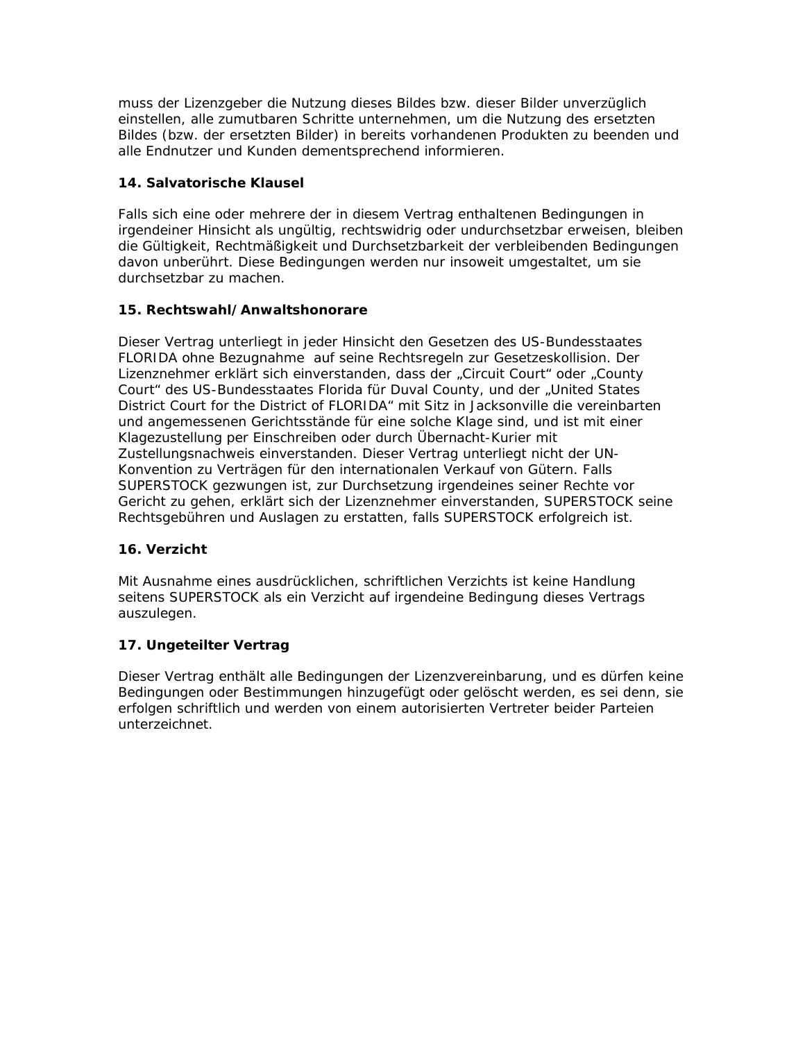muss der Lizenzgeber die Nutzung dieses Bildes bzw. dieser Bilder unverzüglich einstellen, alle zumutbaren Schritte unternehmen, um die Nutzung des ersetzten Bildes (bzw. der ersetzten Bilder) in bereits vorhandenen Produkten zu beenden und alle Endnutzer und Kunden dementsprechend informieren.

# **14. Salvatorische Klausel**

Falls sich eine oder mehrere der in diesem Vertrag enthaltenen Bedingungen in irgendeiner Hinsicht als ungültig, rechtswidrig oder undurchsetzbar erweisen, bleiben die Gültigkeit, Rechtmäßigkeit und Durchsetzbarkeit der verbleibenden Bedingungen davon unberührt. Diese Bedingungen werden nur insoweit umgestaltet, um sie durchsetzbar zu machen.

# **15. Rechtswahl/Anwaltshonorare**

Dieser Vertrag unterliegt in jeder Hinsicht den Gesetzen des US-Bundesstaates FLORIDA ohne Bezugnahme auf seine Rechtsregeln zur Gesetzeskollision. Der Lizenznehmer erklärt sich einverstanden, dass der "Circuit Court" oder "County Court" des US-Bundesstaates Florida für Duval County, und der "United States District Court for the District of FLORIDA" mit Sitz in Jacksonville die vereinbarten und angemessenen Gerichtsstände für eine solche Klage sind, und ist mit einer Klagezustellung per Einschreiben oder durch Übernacht-Kurier mit Zustellungsnachweis einverstanden. Dieser Vertrag unterliegt nicht der UN-Konvention zu Verträgen für den internationalen Verkauf von Gütern. Falls SUPERSTOCK gezwungen ist, zur Durchsetzung irgendeines seiner Rechte vor Gericht zu gehen, erklärt sich der Lizenznehmer einverstanden, SUPERSTOCK seine Rechtsgebühren und Auslagen zu erstatten, falls SUPERSTOCK erfolgreich ist.

# **16. Verzicht**

Mit Ausnahme eines ausdrücklichen, schriftlichen Verzichts ist keine Handlung seitens SUPERSTOCK als ein Verzicht auf irgendeine Bedingung dieses Vertrags auszulegen.

# **17. Ungeteilter Vertrag**

Dieser Vertrag enthält alle Bedingungen der Lizenzvereinbarung, und es dürfen keine Bedingungen oder Bestimmungen hinzugefügt oder gelöscht werden, es sei denn, sie erfolgen schriftlich und werden von einem autorisierten Vertreter beider Parteien unterzeichnet.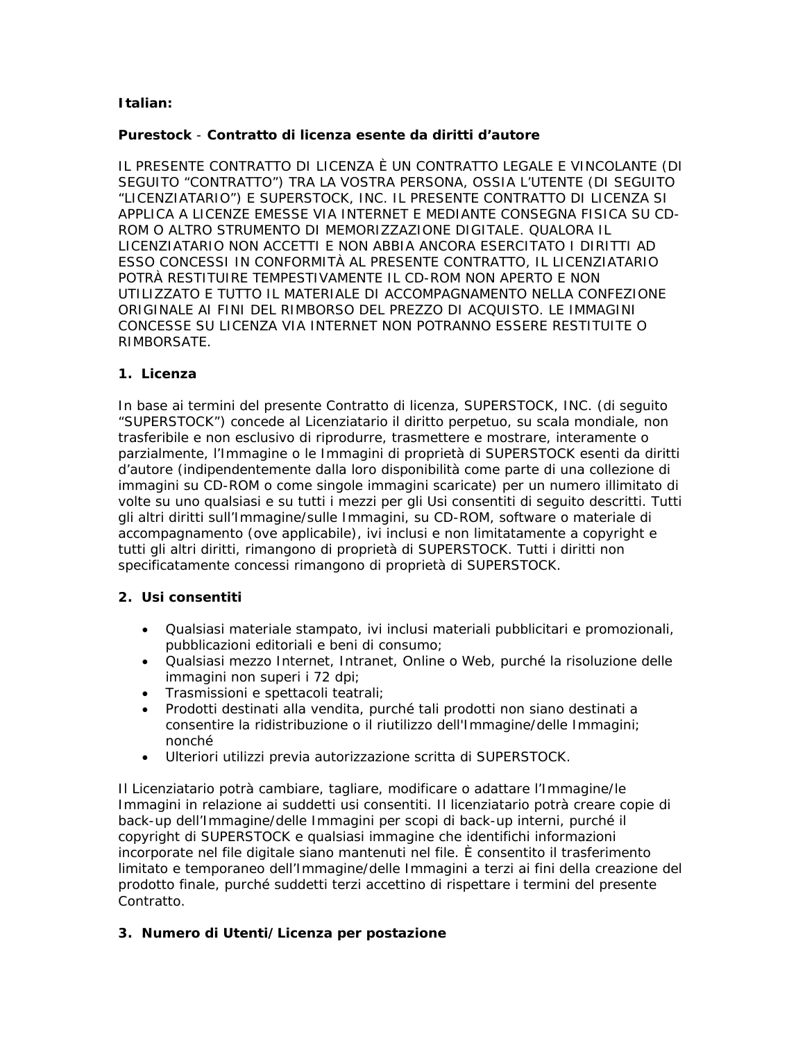# **Italian:**

# **Purestock** - **Contratto di licenza esente da diritti d'autore**

IL PRESENTE CONTRATTO DI LICENZA È UN CONTRATTO LEGALE E VINCOLANTE (DI SEGUITO "CONTRATTO") TRA LA VOSTRA PERSONA, OSSIA L'UTENTE (DI SEGUITO "LICENZIATARIO") E SUPERSTOCK, INC. IL PRESENTE CONTRATTO DI LICENZA SI APPLICA A LICENZE EMESSE VIA INTERNET E MEDIANTE CONSEGNA FISICA SU CD-ROM O ALTRO STRUMENTO DI MEMORIZZAZIONE DIGITALE. QUALORA IL LICENZIATARIO NON ACCETTI E NON ABBIA ANCORA ESERCITATO I DIRITTI AD ESSO CONCESSI IN CONFORMITÀ AL PRESENTE CONTRATTO, IL LICENZIATARIO POTRÀ RESTITUIRE TEMPESTIVAMENTE IL CD-ROM NON APERTO E NON UTILIZZATO E TUTTO IL MATERIALE DI ACCOMPAGNAMENTO NELLA CONFEZIONE ORIGINALE AI FINI DEL RIMBORSO DEL PREZZO DI ACQUISTO. LE IMMAGINI CONCESSE SU LICENZA VIA INTERNET NON POTRANNO ESSERE RESTITUITE O RIMBORSATE.

# **1. Licenza**

In base ai termini del presente Contratto di licenza, SUPERSTOCK, INC. (di seguito "SUPERSTOCK") concede al Licenziatario il diritto perpetuo, su scala mondiale, non trasferibile e non esclusivo di riprodurre, trasmettere e mostrare, interamente o parzialmente, l'Immagine o le Immagini di proprietà di SUPERSTOCK esenti da diritti d'autore (indipendentemente dalla loro disponibilità come parte di una collezione di immagini su CD-ROM o come singole immagini scaricate) per un numero illimitato di volte su uno qualsiasi e su tutti i mezzi per gli Usi consentiti di seguito descritti. Tutti gli altri diritti sull'Immagine/sulle Immagini, su CD-ROM, software o materiale di accompagnamento (ove applicabile), ivi inclusi e non limitatamente a copyright e tutti gli altri diritti, rimangono di proprietà di SUPERSTOCK. Tutti i diritti non specificatamente concessi rimangono di proprietà di SUPERSTOCK.

# **2. Usi consentiti**

- Qualsiasi materiale stampato, ivi inclusi materiali pubblicitari e promozionali, pubblicazioni editoriali e beni di consumo;
- Qualsiasi mezzo Internet, Intranet, Online o Web, purché la risoluzione delle immagini non superi i 72 dpi;
- Trasmissioni e spettacoli teatrali;
- Prodotti destinati alla vendita, purché tali prodotti non siano destinati a consentire la ridistribuzione o il riutilizzo dell'Immagine/delle Immagini; nonché
- Ulteriori utilizzi previa autorizzazione scritta di SUPERSTOCK.

Il Licenziatario potrà cambiare, tagliare, modificare o adattare l'Immagine/le Immagini in relazione ai suddetti usi consentiti. Il licenziatario potrà creare copie di back-up dell'Immagine/delle Immagini per scopi di back-up interni, purché il copyright di SUPERSTOCK e qualsiasi immagine che identifichi informazioni incorporate nel file digitale siano mantenuti nel file. È consentito il trasferimento limitato e temporaneo dell'Immagine/delle Immagini a terzi ai fini della creazione del prodotto finale, purché suddetti terzi accettino di rispettare i termini del presente Contratto.

# **3. Numero di Utenti/Licenza per postazione**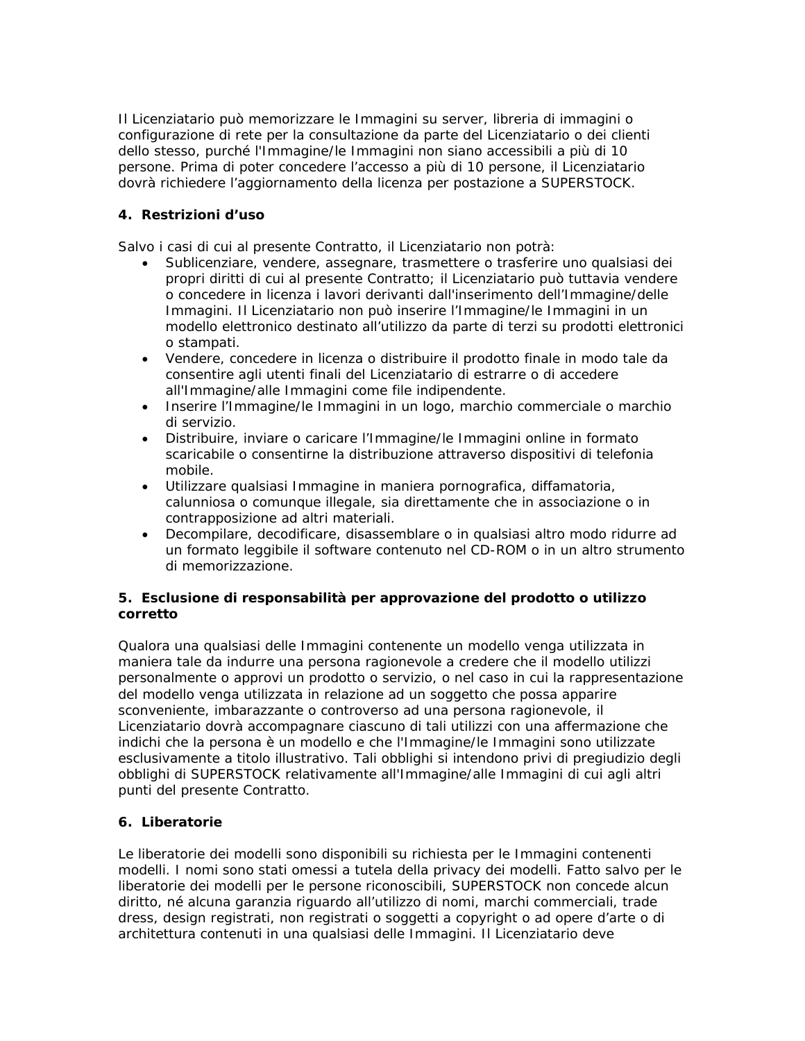Il Licenziatario può memorizzare le Immagini su server, libreria di immagini o configurazione di rete per la consultazione da parte del Licenziatario o dei clienti dello stesso, purché l'Immagine/le Immagini non siano accessibili a più di 10 persone. Prima di poter concedere l'accesso a più di 10 persone, il Licenziatario dovrà richiedere l'aggiornamento della licenza per postazione a SUPERSTOCK.

# **4. Restrizioni d'uso**

Salvo i casi di cui al presente Contratto, il Licenziatario non potrà:

- Sublicenziare, vendere, assegnare, trasmettere o trasferire uno qualsiasi dei propri diritti di cui al presente Contratto; il Licenziatario può tuttavia vendere o concedere in licenza i lavori derivanti dall'inserimento dell'Immagine/delle Immagini. Il Licenziatario non può inserire l'Immagine/le Immagini in un modello elettronico destinato all'utilizzo da parte di terzi su prodotti elettronici o stampati.
- Vendere, concedere in licenza o distribuire il prodotto finale in modo tale da consentire agli utenti finali del Licenziatario di estrarre o di accedere all'Immagine/alle Immagini come file indipendente.
- Inserire l'Immagine/le Immagini in un logo, marchio commerciale o marchio di servizio.
- Distribuire, inviare o caricare l'Immagine/le Immagini online in formato scaricabile o consentirne la distribuzione attraverso dispositivi di telefonia mobile.
- Utilizzare qualsiasi Immagine in maniera pornografica, diffamatoria, calunniosa o comunque illegale, sia direttamente che in associazione o in contrapposizione ad altri materiali.
- Decompilare, decodificare, disassemblare o in qualsiasi altro modo ridurre ad un formato leggibile il software contenuto nel CD-ROM o in un altro strumento di memorizzazione.

# **5. Esclusione di responsabilità per approvazione del prodotto o utilizzo corretto**

Qualora una qualsiasi delle Immagini contenente un modello venga utilizzata in maniera tale da indurre una persona ragionevole a credere che il modello utilizzi personalmente o approvi un prodotto o servizio, o nel caso in cui la rappresentazione del modello venga utilizzata in relazione ad un soggetto che possa apparire sconveniente, imbarazzante o controverso ad una persona ragionevole, il Licenziatario dovrà accompagnare ciascuno di tali utilizzi con una affermazione che indichi che la persona è un modello e che l'Immagine/le Immagini sono utilizzate esclusivamente a titolo illustrativo. Tali obblighi si intendono privi di pregiudizio degli obblighi di SUPERSTOCK relativamente all'Immagine/alle Immagini di cui agli altri punti del presente Contratto.

# **6. Liberatorie**

Le liberatorie dei modelli sono disponibili su richiesta per le Immagini contenenti modelli. I nomi sono stati omessi a tutela della privacy dei modelli. Fatto salvo per le liberatorie dei modelli per le persone riconoscibili, SUPERSTOCK non concede alcun diritto, né alcuna garanzia riguardo all'utilizzo di nomi, marchi commerciali, trade dress, design registrati, non registrati o soggetti a copyright o ad opere d'arte o di architettura contenuti in una qualsiasi delle Immagini. Il Licenziatario deve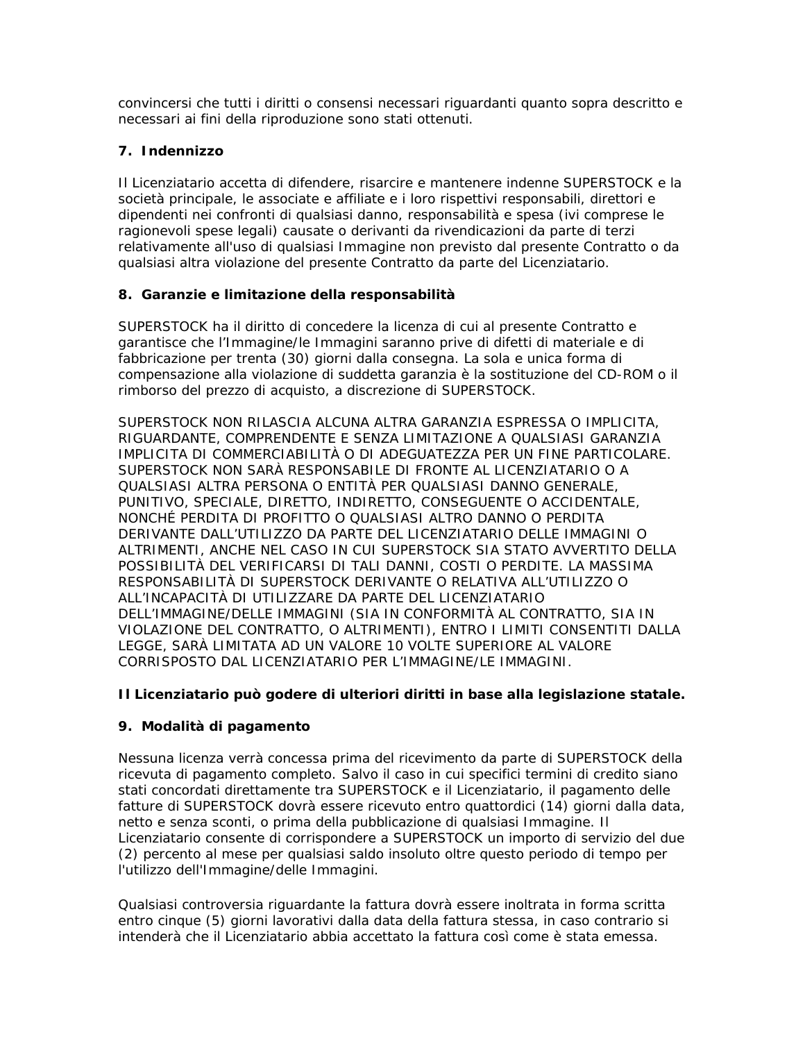convincersi che tutti i diritti o consensi necessari riguardanti quanto sopra descritto e necessari ai fini della riproduzione sono stati ottenuti.

# **7. Indennizzo**

Il Licenziatario accetta di difendere, risarcire e mantenere indenne SUPERSTOCK e la società principale, le associate e affiliate e i loro rispettivi responsabili, direttori e dipendenti nei confronti di qualsiasi danno, responsabilità e spesa (ivi comprese le ragionevoli spese legali) causate o derivanti da rivendicazioni da parte di terzi relativamente all'uso di qualsiasi Immagine non previsto dal presente Contratto o da qualsiasi altra violazione del presente Contratto da parte del Licenziatario.

# **8. Garanzie e limitazione della responsabilità**

SUPERSTOCK ha il diritto di concedere la licenza di cui al presente Contratto e garantisce che l'Immagine/le Immagini saranno prive di difetti di materiale e di fabbricazione per trenta (30) giorni dalla consegna. La sola e unica forma di compensazione alla violazione di suddetta garanzia è la sostituzione del CD-ROM o il rimborso del prezzo di acquisto, a discrezione di SUPERSTOCK.

SUPERSTOCK NON RILASCIA ALCUNA ALTRA GARANZIA ESPRESSA O IMPLICITA, RIGUARDANTE, COMPRENDENTE E SENZA LIMITAZIONE A QUALSIASI GARANZIA IMPLICITA DI COMMERCIABILITÀ O DI ADEGUATEZZA PER UN FINE PARTICOLARE. SUPERSTOCK NON SARÀ RESPONSABILE DI FRONTE AL LICENZIATARIO O A QUALSIASI ALTRA PERSONA O ENTITÀ PER QUALSIASI DANNO GENERALE, PUNITIVO, SPECIALE, DIRETTO, INDIRETTO, CONSEGUENTE O ACCIDENTALE, NONCHÉ PERDITA DI PROFITTO O QUALSIASI ALTRO DANNO O PERDITA DERIVANTE DALL'UTILIZZO DA PARTE DEL LICENZIATARIO DELLE IMMAGINI O ALTRIMENTI, ANCHE NEL CASO IN CUI SUPERSTOCK SIA STATO AVVERTITO DELLA POSSIBILITÀ DEL VERIFICARSI DI TALI DANNI, COSTI O PERDITE. LA MASSIMA RESPONSABILITÀ DI SUPERSTOCK DERIVANTE O RELATIVA ALL'UTILIZZO O ALL'INCAPACITÀ DI UTILIZZARE DA PARTE DEL LICENZIATARIO DELL'IMMAGINE/DELLE IMMAGINI (SIA IN CONFORMITÀ AL CONTRATTO, SIA IN VIOLAZIONE DEL CONTRATTO, O ALTRIMENTI), ENTRO I LIMITI CONSENTITI DALLA LEGGE, SARÀ LIMITATA AD UN VALORE 10 VOLTE SUPERIORE AL VALORE CORRISPOSTO DAL LICENZIATARIO PER L'IMMAGINE/LE IMMAGINI.

# **Il Licenziatario può godere di ulteriori diritti in base alla legislazione statale.**

# **9. Modalità di pagamento**

Nessuna licenza verrà concessa prima del ricevimento da parte di SUPERSTOCK della ricevuta di pagamento completo. Salvo il caso in cui specifici termini di credito siano stati concordati direttamente tra SUPERSTOCK e il Licenziatario, il pagamento delle fatture di SUPERSTOCK dovrà essere ricevuto entro quattordici (14) giorni dalla data, netto e senza sconti, o prima della pubblicazione di qualsiasi Immagine. Il Licenziatario consente di corrispondere a SUPERSTOCK un importo di servizio del due (2) percento al mese per qualsiasi saldo insoluto oltre questo periodo di tempo per l'utilizzo dell'Immagine/delle Immagini.

Qualsiasi controversia riguardante la fattura dovrà essere inoltrata in forma scritta entro cinque (5) giorni lavorativi dalla data della fattura stessa, in caso contrario si intenderà che il Licenziatario abbia accettato la fattura così come è stata emessa.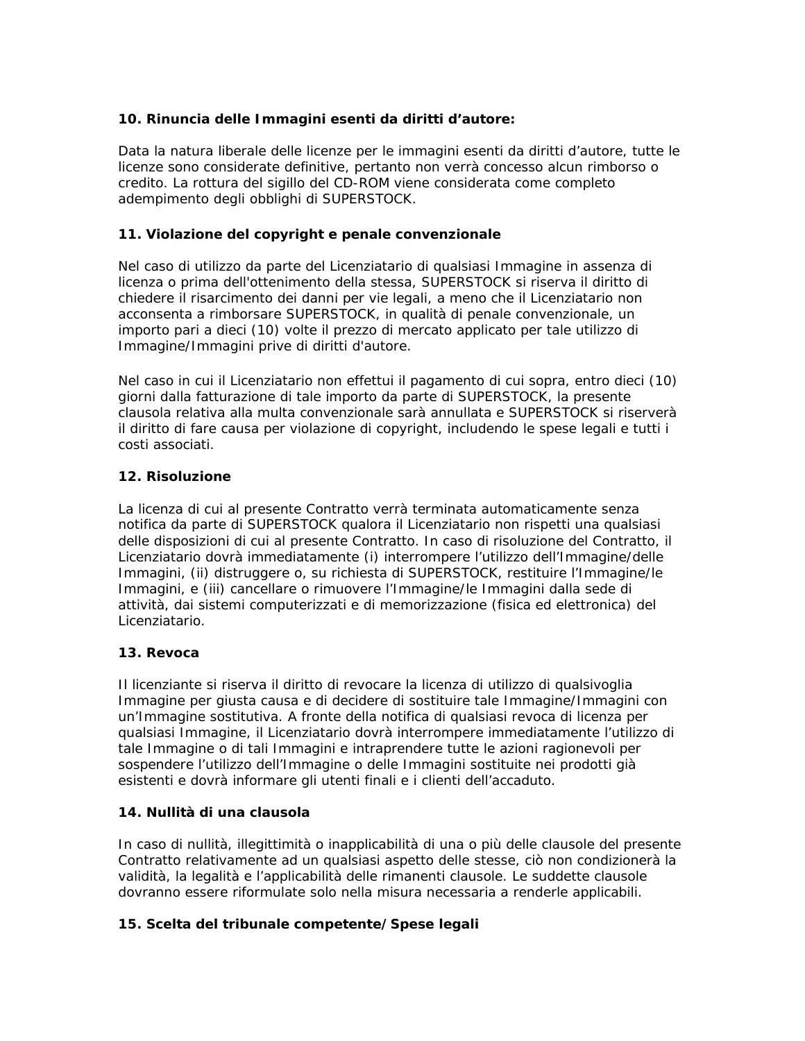# **10. Rinuncia delle Immagini esenti da diritti d'autore:**

Data la natura liberale delle licenze per le immagini esenti da diritti d'autore, tutte le licenze sono considerate definitive, pertanto non verrà concesso alcun rimborso o credito. La rottura del sigillo del CD-ROM viene considerata come completo adempimento degli obblighi di SUPERSTOCK.

# **11. Violazione del copyright e penale convenzionale**

Nel caso di utilizzo da parte del Licenziatario di qualsiasi Immagine in assenza di licenza o prima dell'ottenimento della stessa, SUPERSTOCK si riserva il diritto di chiedere il risarcimento dei danni per vie legali, a meno che il Licenziatario non acconsenta a rimborsare SUPERSTOCK, in qualità di penale convenzionale, un importo pari a dieci (10) volte il prezzo di mercato applicato per tale utilizzo di Immagine/Immagini prive di diritti d'autore.

Nel caso in cui il Licenziatario non effettui il pagamento di cui sopra, entro dieci (10) giorni dalla fatturazione di tale importo da parte di SUPERSTOCK, la presente clausola relativa alla multa convenzionale sarà annullata e SUPERSTOCK si riserverà il diritto di fare causa per violazione di copyright, includendo le spese legali e tutti i costi associati.

# **12. Risoluzione**

La licenza di cui al presente Contratto verrà terminata automaticamente senza notifica da parte di SUPERSTOCK qualora il Licenziatario non rispetti una qualsiasi delle disposizioni di cui al presente Contratto. In caso di risoluzione del Contratto, il Licenziatario dovrà immediatamente (i) interrompere l'utilizzo dell'Immagine/delle Immagini, (ii) distruggere o, su richiesta di SUPERSTOCK, restituire l'Immagine/le Immagini, e (iii) cancellare o rimuovere l'Immagine/le Immagini dalla sede di attività, dai sistemi computerizzati e di memorizzazione (fisica ed elettronica) del Licenziatario.

# **13. Revoca**

Il licenziante si riserva il diritto di revocare la licenza di utilizzo di qualsivoglia Immagine per giusta causa e di decidere di sostituire tale Immagine/Immagini con un'Immagine sostitutiva. A fronte della notifica di qualsiasi revoca di licenza per qualsiasi Immagine, il Licenziatario dovrà interrompere immediatamente l'utilizzo di tale Immagine o di tali Immagini e intraprendere tutte le azioni ragionevoli per sospendere l'utilizzo dell'Immagine o delle Immagini sostituite nei prodotti già esistenti e dovrà informare gli utenti finali e i clienti dell'accaduto.

# **14. Nullità di una clausola**

In caso di nullità, illegittimità o inapplicabilità di una o più delle clausole del presente Contratto relativamente ad un qualsiasi aspetto delle stesse, ciò non condizionerà la validità, la legalità e l'applicabilità delle rimanenti clausole. Le suddette clausole dovranno essere riformulate solo nella misura necessaria a renderle applicabili.

# **15. Scelta del tribunale competente/Spese legali**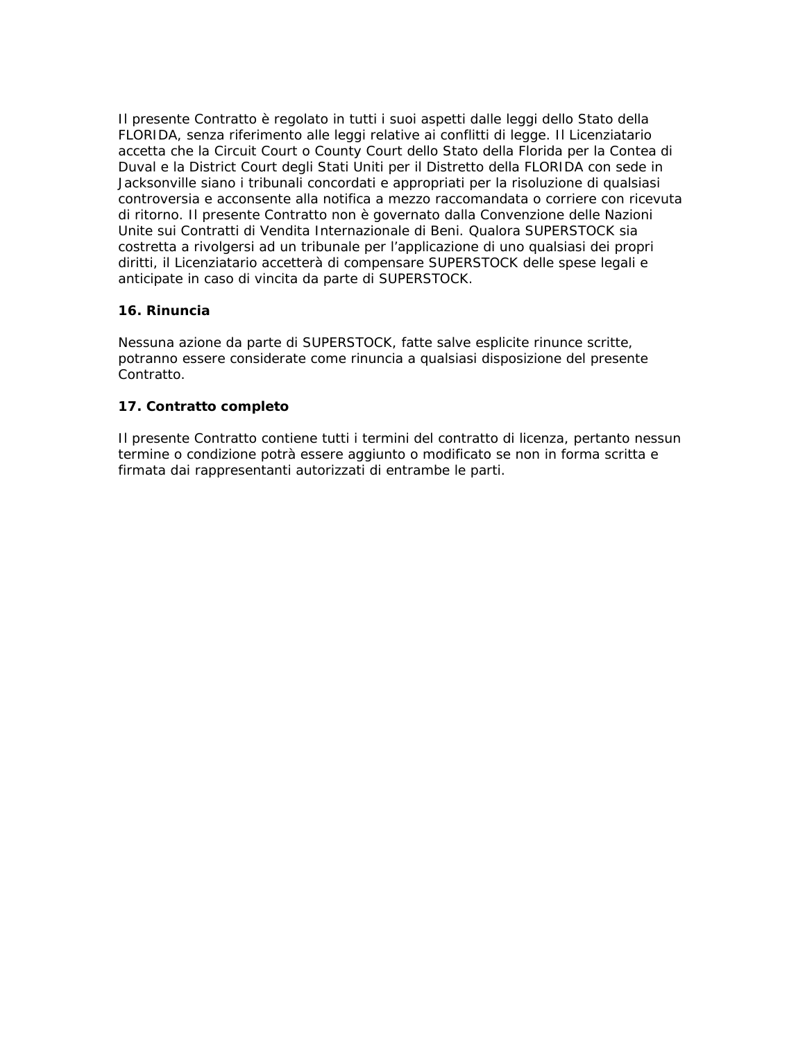Il presente Contratto è regolato in tutti i suoi aspetti dalle leggi dello Stato della FLORIDA, senza riferimento alle leggi relative ai conflitti di legge. Il Licenziatario accetta che la Circuit Court o County Court dello Stato della Florida per la Contea di Duval e la District Court degli Stati Uniti per il Distretto della FLORIDA con sede in Jacksonville siano i tribunali concordati e appropriati per la risoluzione di qualsiasi controversia e acconsente alla notifica a mezzo raccomandata o corriere con ricevuta di ritorno. Il presente Contratto non è governato dalla Convenzione delle Nazioni Unite sui Contratti di Vendita Internazionale di Beni. Qualora SUPERSTOCK sia costretta a rivolgersi ad un tribunale per l'applicazione di uno qualsiasi dei propri diritti, il Licenziatario accetterà di compensare SUPERSTOCK delle spese legali e anticipate in caso di vincita da parte di SUPERSTOCK.

# **16. Rinuncia**

Nessuna azione da parte di SUPERSTOCK, fatte salve esplicite rinunce scritte, potranno essere considerate come rinuncia a qualsiasi disposizione del presente Contratto.

# **17. Contratto completo**

Il presente Contratto contiene tutti i termini del contratto di licenza, pertanto nessun termine o condizione potrà essere aggiunto o modificato se non in forma scritta e firmata dai rappresentanti autorizzati di entrambe le parti.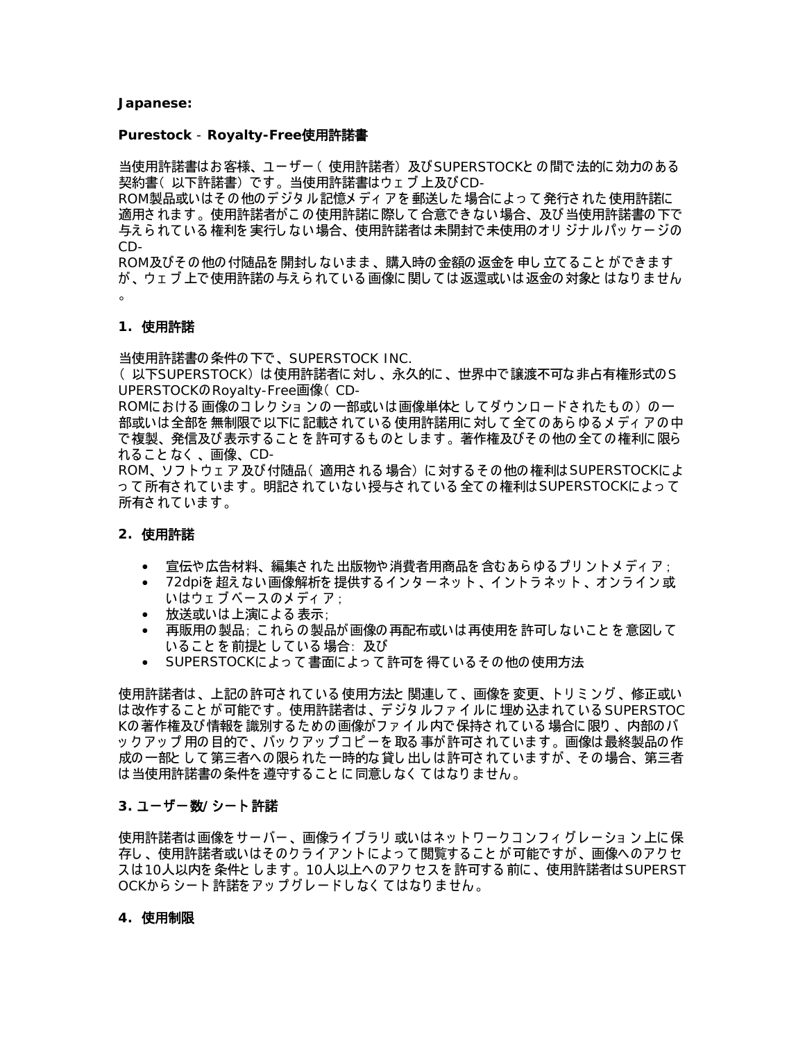#### **Japanese:**

#### **Purestock** - **Royalty-Free**使用許諾書

当使用許諾書はお客様、ユーザー ( 使用許諾者) 及び SUPERSTOCKとの間で法的に効力のある 契約書( 以下許諾書) です。 当使用許諾書はウ ェ ブ 上及びCD-

ROM製品或いはそ の他のデジタ ル記憶メ デ ィ ア を 郵送し た場合に よ っ て発行さ れた使用許諾に 適用さ れま す。 使用許諾者がこ の使用許諾に際し て合意でき ない場合、 及び当使用許諾書の下で 与えられている 権利を実行しない場合、使用許諾者は未開封で未使用のオリ ジナルパッケージの CD-

ROM及びその他の付随品を開封しないまま、購入時の金額の返金を申し立てることができます が、 ウ ェ ブ 上で使用許諾の与え ら れて いる 画像に関し て は返還或いは返金の対象と はなり ま せん 。

#### **1.** 使用許諾

当使用許諾書の条件の下で、 SUPERSTOCK INC.

(以下SUPERSTOCK)は使用許諾者に対し、永久的に、世界中で譲渡不可な非占有権形式のS UPERSTOCKのRoyalty-Free画像( CD-

ROMにおける 画像のコレク ショ ンの 一部或いは 画像単体と してダウンロードされたもの)の一 部或いは 全部を 無制限で 以下に 記載さ れている 使用許諾用に 対して 全てのあら ゆる メ ディ アの 中 で複製、 発信及び表示する こ と を 許可する も のと し ま す。 著作権及びそ の他の全て の権利に限ら れること なく 、画像、CD-

ROM、ソフトウェア及び付随品(適用される場合)に対するその他の権利は SUPERSTOCKによ って 所有されています。 明記されていない授与されている 全ての権利は SUPERSTOCKによって 所有されています。

#### **2.** 使用許諾

- 宣伝や広告材料、編集された出版物や消費者用商品を含むあらゆるプリントメディア ;
- 72dpiを超えない画像解析を提供するインターネット、イントラネット、オンライン或 いはウェブベースのメディア ;
- 放送或いは上演による表示;
- 再販用の製品; これらの製品が画像の再配布或いは再使用を許可しないことを意図して いることを 前提としている 場合: 及び
- SUPERSTOCKによって 書面によって 許可を 得ているその 他の 使用方法

使用許諾者は、 上記の許可さ れて いる 使用方法と 関連し て 、 画像を 変更、 ト リ ミ ン グ 、 修正或い は改作することが可能です。使用許諾者は、デジタルファイルに埋め込まれている SUPERSTOC Kの著作権及び情報を 識別する た めの画像がフ ァ イ ル内で保持さ れて いる 場合に限り 、 内部のバ ッ ク アッ プ 用の 目的で 、バッ ク アッ プ コ ピ ー を 取る 事が 許 可さ れ て い ま す 。 画像は 最終製品の 作 成の一部と し て第三者への限ら れた一時的な貸し 出し は許可さ れて いま すが、 そ の場合、 第三者 は当使用許諾書の条件を 遵守する こ と に同意し なく て はなり ま せん。

#### **3.** ユーザー数 シー ト 許諾 **/**

使用許諾者は画像をサーバー、画像ライブラリ 或いはネットワークコンフィグレーション 上に保 存し、使用許諾者或いはそのクライアントによって閲覧することが可能ですが、画像へのアクセ スは10人以内を 条件とします。10人以上へのアクセスを 許可する 前に、使用許諾者はSUPERST OCKから シート 許諾をアッ プグレードしなく てはなりま せん 。

#### **4.** 使用制限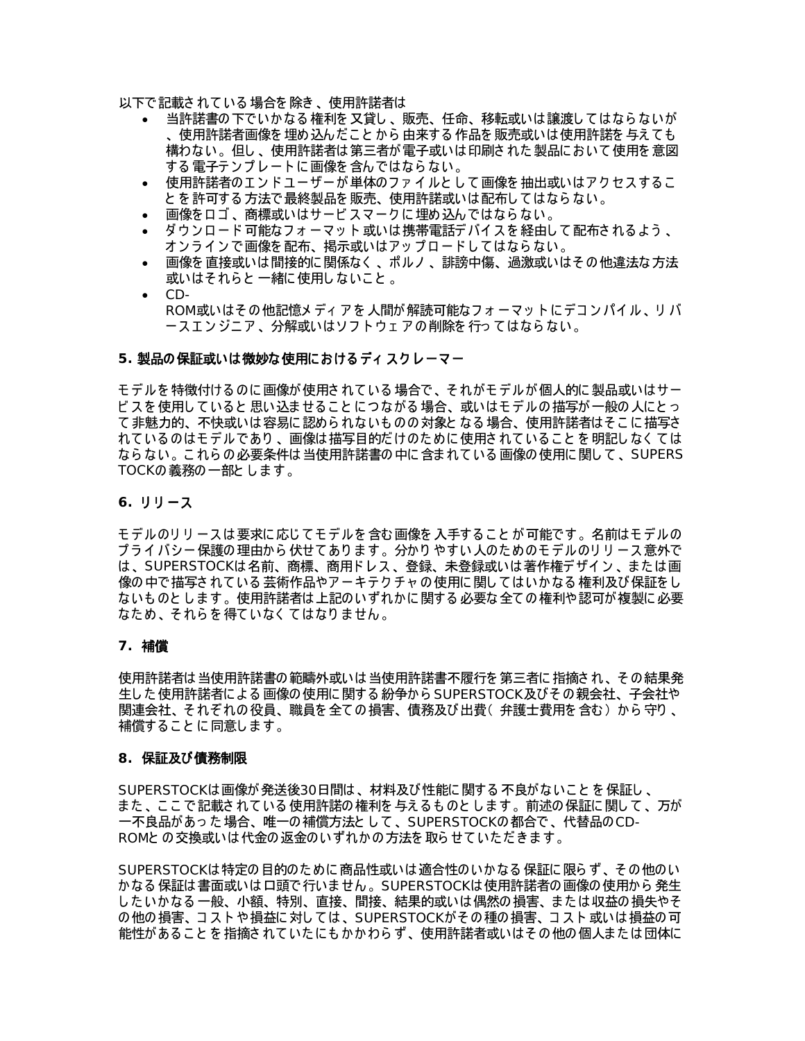以下で記載さ れて いる 場合を 除き 、 使用許諾者は

- 当許諾書の下でいかなる 権利を 又貸し 、 販売、 任命、 移転或いは譲渡し て はなら ないが 、 使用許諾者画像を 埋め込んだ こ と から 由来する 作品を 販売或いは使用許諾を 与え て も 構わない。 但し 、 使用許諾者は第三者が電子或いは印刷さ れた製品に おいて使用を 意図 する 電子テンプレートに画像を含んではならない。
- 使用許諾者のエンドユーザーが 単体のファイルとして 画像を 抽出或いはアクセスするこ と を 許可する 方法で最終製品を 販売、 使用許諾或いは配布し て はなら ない。
- 画像を口ゴ、商標或いはサービスマークに埋め込んではならない。
- ダウンロード 可能なフォーマット 或いは 携帯電話デバイスを 経由して 配布されるよう 、 オ ン ラ イ ン で画像を 配布、 掲示或いはア ッ プ ロ ード し て はなら ない。
- 画像を 直接或いは間接的に関係なく 、 ポルノ 、 誹謗中傷、 過激或いはそ の他違法な方法 或いはそれらと 一緒に 使用しないこと 。
- CD-ROM或いはその他記憶メディアを人間が解読可能なフォーマットにデコンパイル、リバ ースエンジニア 、分解或いはソフトウェアの削除を行ってはならない。

#### 5. 製品の保証或いは微妙な使用におけるディスクレーマ**ー**

モ デルを 特徴付ける のに画像が使用さ れて いる 場合で、 そ れがモ デルが個人的に製品或いはサー ビ スを 使用していると 思い込ませること につながる 場合、或いはモデルの描写が 一般の人にとっ て非魅力的、 不快或いは容易に認めら れないも のの対象と なる 場合、 使用許諾者はそ こ に描写さ れて いる のはモ デルであり 、 画像は描写目的だ けのた めに使用さ れて いる こ と を 明記し なく て は なら ない。 こ れら の必要条件は当使用許諾書の中に含ま れて いる 画像の使用に関し て 、 SUPERS TOCKの義務の一部とします。

#### 6. リリース

モデルのリリ ースは 要求に応じてモデルを 含む 画像を 入手すること が 可能です 。名前はモデルの プライバシー保護の理由から伏せてあります。分かりやすい人のためのモデルのリリース意外で は、SUPERSTOCKは名前、商標、商用ドレス、登録、未登録或いは著作権デザイン、または画 像の中で描写されている 芸術作品やアーキテクチャ の使用に関してはいかなる 権利及び保証をし ないも のと し ま す。 使用許諾者は上記のいずれかに関する 必要な全て の権利や認可が複製に必要 なた め、 そ れら を 得て いなく て はなり ま せん。

#### **7.** 補償

使用許諾者は当使用許諾書の範疇外或いは当使用許諾書不履行を 第三者に指摘さ れ、 そ の結果発 生した使用許諾者による画像の使用に関する紛争から SUPERSTOCK及びその親会社、子会社や 関連会社、 そ れぞれの役員、 職員を 全て の損害、 債務及び出費( 弁護士費用を 含む ) から 守り 、 補償する こ と に同意し ま す。

#### **8.** 保証及び債務制限

SUPERSTOCKは画像が発送後30日間は、材料及び性能に関する 不良がないこと を 保証し 、 また 、ここで 記載されている 使用許諾の 権利を 与えるものとします 。前述の 保証に 関して 、万が 一不良品があった場合、唯一の補償方法として、SUPERSTOCKの都合で、代替品のCD-ROMと の交換或いは代金の返金のいずれかの方法を 取ら せて いた だ き ま す。

SUPERSTOCKは特定の目的のた めに商品性或いは適合性のいかなる 保証に限ら ず、 そ の他のい かなる 保証は 書面或いは 口頭で 行いません 。SUPERSTOCKは 使用許諾者の画像の 使用から 発生 し た いかなる 一般、 小額、 特別、 直接、 間接、 結果的或いは偶然の損害、 ま た は収益の損失やそ の他の損害、 コ ス ト や 損益に 対し て は 、 SUPERSTOCKが そ の 種の 損害、 コ ス ト 或いは 損益の 可 能性がある こ と を 指摘さ れて いた に も かかわら ず、 使用許諾者或いはそ の他の個人ま た は団体に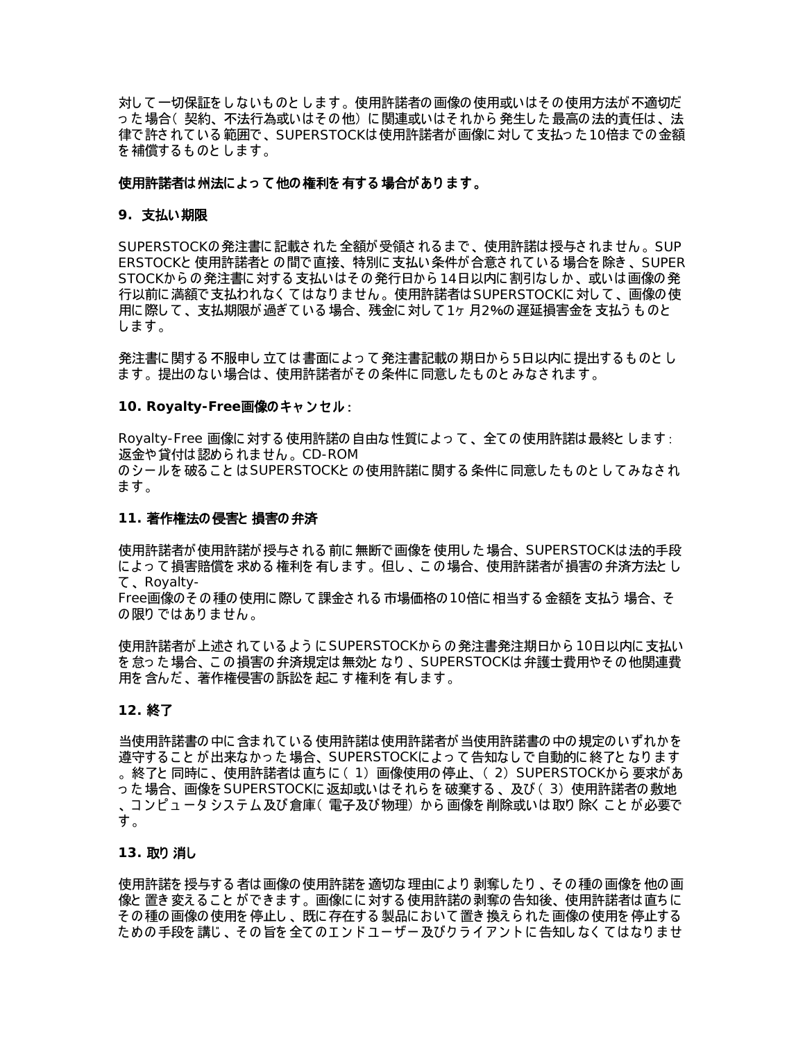対し て一切保証を し ないも のと し ま す。 使用許諾者の画像の使用或いはそ の使用方法が不適切だ っ た場合( 契約、 不法行為或いはそ の他) に関連或いはそ れから 発生し た最高の法的責任は、 法 律で許されている 範囲で、 SUPERSTOCKは 使用許諾者が 画像に 対して 支払っ た 10倍までの 金額 を 補償する も のと し ま す。

#### 使用許諾者は州法に よ っ て他の権利を 有する 場合があり ま す。

#### **9.** 支払い期限

SUPERSTOCKの発注書に記載さ れた全額が受領さ れる ま で、 使用許諾は授与さ れま せん。 SUP ERSTOCKと 使用許諾者と の間で直接、 特別に支払い条件が合意さ れて いる 場合を 除き 、 SUPER STOCKからの発注書に対する支払いはその発行日から14日以内に割引なしか、或いは画像の発 行以前に 満額で 支払われなく て はなり ま せん 。使用許諾者は SUPERSTOCKに 対して 、画像の 使 用に際して、支払期限が過ぎている場合、残金に対して 1ヶ 月2%の遅延損害金を支払うものと します。

発注書に関する 不服申し立ては 書面によって 発注書記載の 期日から5日以内に提出するものとし ま す。 提出のない場合は、 使用許諾者がそ の条件に同意し た も のと みなさ れま す。

#### **10. Royalty-Free**画像のキャ ン セル :

Royalty-Free 画像に対する 使用許諾の自由な性質に よ っ て 、 全て の使用許諾は最終と し ま す: 返金や貸付は認めら れま せん。 CD-ROM のシールを 破ること は SUPERSTOCKと の 使用許諾に 関する 条件に 同意したものと して みなされ ます。

#### **11.** 著作権法の侵害と 損害の弁済

使用許諾者が使用許諾が授与される前に無断で画像を使用した場合、SUPERSTOCKは法的手段 に よ っ て損害賠償を 求める 権利を 有し ま す。 但し 、 こ の場合、 使用許諾者が損害の弁済方法と し て 、 Royalty-

Free画像のその種の使用に際して課金される 市場価格の 10倍に 相当する 金額を 支払う 場合、そ の限りではありません。

使用許諾者が上述されているように SUPERSTOCKからの発注書発注期日から 10日以内に支払い を怠った場合、この損害の弁済規定は無効となり、SUPERSTOCKは弁護士費用やその他関連費 用を 含んだ 、 著作権侵害の訴訟を 起こ す権利を 有し ま す。

#### **12.** 終了

当使用許諾書の中に含ま れて いる 使用許諾は使用許諾者が当使用許諾書の中の規定のいずれかを 遵守すること が 出来なかった 場合、SUPERSTOCKによって 告知なしで 自動的に 終了と なります 。終了と 同時に 、使用許諾者は直ちに ( 1) 画像使用の停止、( 2) SUPERSTOCKから 要求があ った 場合、画像を SUPERSTOCKに 返却或いはそれらを 破棄する 、及び ( 3)使用許諾者の敷地 、コンピュータシステム及び倉庫(電子及び物理)から画像を削除或いは取り除くことが必要で す。

#### **13.** 取り 消し

使用許諾を 授与する 者は 画像の 使用許諾を 適切な 理由により 剥奪したり 、その種の画像を 他の画 像と 置き 変え る こ と ができ ま す。 画像に に対する 使用許諾の剥奪の告知後、 使用許諾者は直ち に そ の種の画像の使用を 停止し 、 既に存在する 製品に おいて置き 換え ら れた画像の使用を 停止する ための手段を講じ、その旨を全てのエンドユーザー及びクライアントに告知しなくてはなりませ